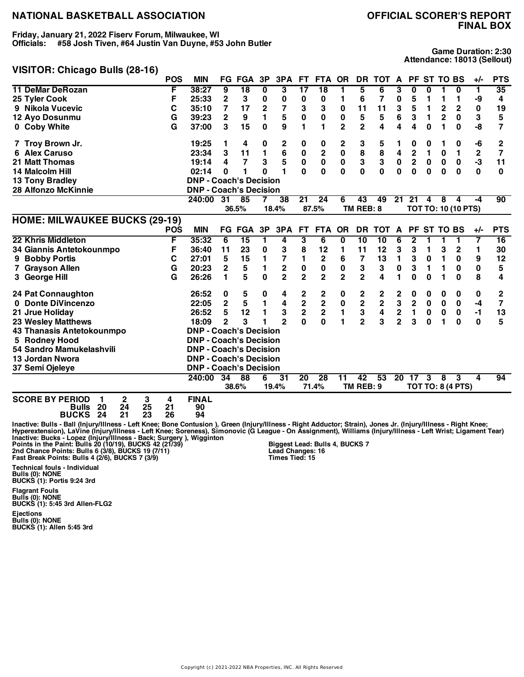**Friday, January 21, 2022 Fiserv Forum, Milwaukee, WI Officials: #58 Josh Tiven, #64 Justin Van Duyne, #53 John Butler**

# **FINAL BOX**

**Game Duration: 2:30 Attendance: 18013 (Sellout)**

#### **VISITOR: Chicago Bulls (28-16)**

|                                                                         | <b>POS</b> | <b>MIN</b>                    |                 | <b>FG FGA</b>   | 3P           | 3PA             | FT.                      | FTA OR          |                | <b>DR</b>               | <b>TOT</b>      | A               | PF.                     |          | <b>ST TO BS</b> |                            | $+/-$        | <b>PTS</b> |
|-------------------------------------------------------------------------|------------|-------------------------------|-----------------|-----------------|--------------|-----------------|--------------------------|-----------------|----------------|-------------------------|-----------------|-----------------|-------------------------|----------|-----------------|----------------------------|--------------|------------|
| <b>11 DeMar DeRozan</b>                                                 | F          | 38:27                         | 9               | $\overline{18}$ | 0            | 3               | $\overline{\mathbf{17}}$ | $\overline{18}$ | 1              | 5                       | 6               | 3               | 0                       | 0        |                 | 0                          | $\mathbf{1}$ | 35         |
| 25 Tyler Cook                                                           | F          | 25:33                         | $\mathbf 2$     | 3               | 0            | 0               | 0                        | 0               | 1              | 6                       | 7               | 0               | 5                       | 1        | 1               | 1                          | -9           | 4          |
| 9 Nikola Vucevic                                                        | С          | 35:10                         | 7               | 17              | 2            | $\overline{7}$  | 3                        | 3               | 0              | 11                      | 11              | 3               | 5                       | 1        | $\mathbf{2}$    | $\overline{2}$             | 0            | 19         |
| 12 Ayo Dosunmu                                                          | G          | 39:23                         | $\mathbf 2$     | 9               | 1            | 5               | $\pmb{0}$                | $\pmb{0}$       | 0              | ${\bf 5}$               | 5               | 6               | 3                       | 1        | $\mathbf 2$     | 0                          | 3            | 5          |
| 0 Coby White                                                            | G          | 37:00                         | 3               | 15              | 0            | 9               | 1                        | 1               | $\overline{2}$ | 2                       | 4               | 4               | 4                       | $\bf{0}$ | 1               | 0                          | -8           | 7          |
| 7 Troy Brown Jr.                                                        |            | 19:25                         | 1               | 4               | 0            | 2               | 0                        | 0               | 2              | 3                       | 5               |                 | 0                       | 0        | 1               | 0                          | -6           | 2          |
| <b>Alex Caruso</b><br>6                                                 |            | 23:34                         | 3               | 11              | 1            | 6               | 0                        | $\mathbf 2$     | 0              | 8                       | 8               | 4               | 2                       | 1        | 0               | 1                          | $\mathbf 2$  | 7          |
| <b>21 Matt Thomas</b>                                                   |            | 19:14                         | 4               | $\overline{7}$  | 3            | 5               | $\mathbf 0$              | $\mathbf 0$     | $\mathbf 0$    | 3                       | 3               | $\mathbf 0$     | $\overline{\mathbf{2}}$ | $\bf{0}$ | $\bf{0}$        | 0                          | $-3$         | 11         |
| 14 Malcolm Hill                                                         |            | 02:14                         | 0               | 1               | 0            | 1               | $\mathbf{0}$             | 0               | 0              | 0                       | $\bf{0}$        | 0               | $\mathbf{0}$            | 0        | 0               | 0                          | $\mathbf{0}$ | 0          |
| <b>13 Tony Bradley</b>                                                  |            | <b>DNP - Coach's Decision</b> |                 |                 |              |                 |                          |                 |                |                         |                 |                 |                         |          |                 |                            |              |            |
| <b>28 Alfonzo McKinnie</b>                                              |            | <b>DNP - Coach's Decision</b> |                 |                 |              |                 |                          |                 |                |                         |                 |                 |                         |          |                 |                            |              |            |
|                                                                         |            | 240:00                        | 31              | 85              |              | 38              | $\overline{21}$          | $\overline{24}$ | 6              | 43                      | 49              | 21              | 21                      | 4        | 8               | 4                          | -4           | 90         |
|                                                                         |            |                               |                 | 36.5%           |              | 18.4%           |                          | 87.5%           |                | TM REB: 8               |                 |                 |                         |          |                 | <b>TOT TO: 10 (10 PTS)</b> |              |            |
| <b>HOME: MILWAUKEE BUCKS (29-19)</b>                                    |            |                               |                 |                 |              |                 |                          |                 |                |                         |                 |                 |                         |          |                 |                            |              |            |
|                                                                         | <b>POS</b> | <b>MIN</b>                    |                 | <b>FG FGA</b>   | 3P           | 3PA             | <b>FT</b>                | <b>FTA</b>      | OR             | <b>DR</b>               | <b>TOT</b>      | $\mathbf{A}$    | <b>PF</b>               |          | <b>ST TO BS</b> |                            | +/-          | <b>PTS</b> |
| 22 Khris Middleton                                                      | F          | 35:32                         | 6               | 15              | 1            | 4               | 3                        | 6               | $\bf{0}$       | $\overline{10}$         | $\overline{10}$ | 6               | 2                       | 1        |                 | 1                          | 7            | 16         |
| 34 Giannis Antetokounmpo                                                | F          | 36:40                         | 11              | 23              | 0            | 3               | 8                        | 12              | 1              | 11                      | 12              | 3               | 3                       | 1        | 3               | $\mathbf 2$                | 1            | 30         |
| <b>Bobby Portis</b><br>9                                                | C          | 27:01                         | 5               | 15              | 1            | 7               | 1                        | 2               | 6              | 7                       | 13              | 1               | 3                       | 0        | 1               | 0                          | 9            | 12         |
| 7 Grayson Allen                                                         | G          | 20:23                         | $\mathbf 2$     | 5               | 1            | $\mathbf 2$     | 0                        | $\pmb{0}$       | 0              | 3                       | 3               | $\pmb{0}$       | 3                       | 1        | 1               | $\bf{0}$                   | $\pmb{0}$    | 5          |
| 3 George Hill                                                           | G          | 26:26                         | 1               | 5               | $\mathbf{0}$ | $\overline{2}$  | $\overline{2}$           | $\overline{2}$  | $\overline{2}$ | $\overline{2}$          | 4               | 1               | 0                       | $\bf{0}$ | 1               | $\bf{0}$                   | 8            | 4          |
| <b>24 Pat Connaughton</b>                                               |            | 26:52                         | 0               | 5               | 0            | 4               | 2                        | 2               | 0              | 2                       | 2               | 2               | 0                       | 0        | 0               | 0                          | 0            | 2          |
| 0 Donte DiVincenzo                                                      |            | 22:05                         | $\overline{2}$  | 5               | 1            | 4               | $\mathbf 2$              | $\bf{2}$        | 0              | $\overline{\mathbf{c}}$ | 2               | 3               | 2                       | 0        | 0               | 0                          | -4           | 7          |
| 21 Jrue Holiday                                                         |            | 26:52                         | 5               | 12              | 1            | 3               | $\overline{\mathbf{2}}$  | 2               | 1              | 3                       | 4               | 2               | 1                       | 0        | $\bf{0}$        | 0                          | $-1$         | 13         |
| <b>23 Wesley Matthews</b>                                               |            | 18:09                         | $\overline{2}$  | 3               | 1            | $\overline{2}$  | $\mathbf{0}$             | 0               | 1              | $\overline{2}$          | 3               | $\overline{2}$  | 3                       | $\bf{0}$ | 1               | $\bf{0}$                   | 0            | 5          |
| 43 Thanasis Antetokounmpo                                               |            | <b>DNP - Coach's Decision</b> |                 |                 |              |                 |                          |                 |                |                         |                 |                 |                         |          |                 |                            |              |            |
| 5 Rodney Hood                                                           |            | <b>DNP - Coach's Decision</b> |                 |                 |              |                 |                          |                 |                |                         |                 |                 |                         |          |                 |                            |              |            |
| 54 Sandro Mamukelashvili                                                |            | <b>DNP - Coach's Decision</b> |                 |                 |              |                 |                          |                 |                |                         |                 |                 |                         |          |                 |                            |              |            |
| 13 Jordan Nwora                                                         |            | <b>DNP - Coach's Decision</b> |                 |                 |              |                 |                          |                 |                |                         |                 |                 |                         |          |                 |                            |              |            |
| 37 Semi Ojeleye                                                         |            | <b>DNP - Coach's Decision</b> |                 |                 |              |                 |                          |                 |                |                         |                 |                 |                         |          |                 |                            |              |            |
|                                                                         |            | 240:00                        | $\overline{34}$ | $\overline{88}$ | 6            | $\overline{31}$ | $\overline{20}$          | 28              | 11             | $\overline{42}$         | 53              | $\overline{20}$ | 17                      | 3        | 8               | 3                          | 4            | 94         |
|                                                                         |            |                               |                 | 38.6%           |              | 19.4%           |                          | 71.4%           |                | TM REB: 9               |                 |                 |                         |          |                 | <b>TOT TO: 8 (4 PTS)</b>   |              |            |
| <b>SCORE BY PERIOD</b><br>3<br>2<br>1<br>25<br>24<br>20<br><b>Bulls</b> | 4<br>21    | <b>FINAL</b><br>90            |                 |                 |              |                 |                          |                 |                |                         |                 |                 |                         |          |                 |                            |              |            |

**BUCKS 24 21 23 26 94**

lnactive: Bulls - Ball (Injury/Illness - Left Knee; Bone Contusion ), Green (Injury/Illness - Right Adductor; Strain), Jones Jr. (Injury/Illness - Right Knee;<br>Hyperextension), LaVine (Injury/Illness - Left Knee; Soreness),

**Technical fouls - Individual Bulls (0): NONE BUCKS (1): Portis 9:24 3rd**

**Flagrant Fouls Bulls (0): NONE BUCKS (1): 5:45 3rd Allen-FLG2**

**Ejections Bulls (0): NONE BUCKS (1): Allen 5:45 3rd**

**Biggest Lead: Bulls 4, BUCKS 7 Lead Changes: 16 Times Tied: 15**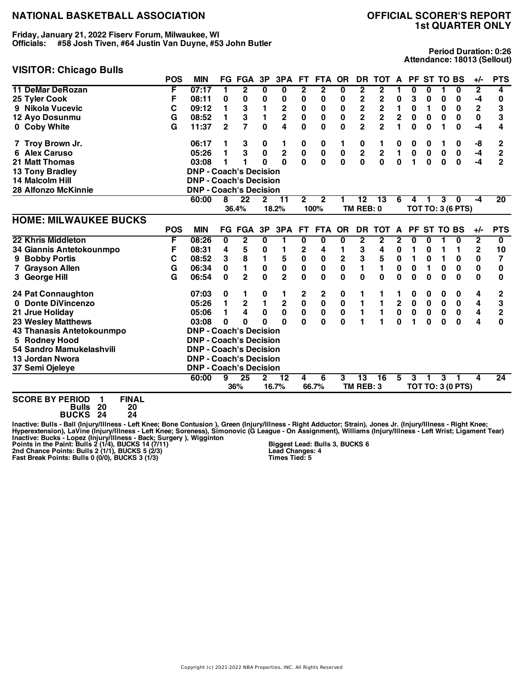**Friday, January 21, 2022 Fiserv Forum, Milwaukee, WI Officials: #58 Josh Tiven, #64 Justin Van Duyne, #53 John Butler**

# **1st QUARTER ONLY**

# **VISITOR: Chicago Bulls**

**Period Duration: 0:26 Attendance: 18013 (Sellout)**

|                              | <b>POS</b> | <b>MIN</b>                    |              | <b>FG FGA</b> | 3P             | 3PA            | FT.          | <b>FTA</b>  | <b>OR</b>   | <b>DR</b>               | TOT A                   |                |           | PF ST TO BS |           |                          | $+/-$                   | <b>PTS</b>              |
|------------------------------|------------|-------------------------------|--------------|---------------|----------------|----------------|--------------|-------------|-------------|-------------------------|-------------------------|----------------|-----------|-------------|-----------|--------------------------|-------------------------|-------------------------|
| <b>11 DeMar DeRozan</b>      | F          | 07:17                         | 1            | 2             | 0              | 0              | 2            | $\mathbf 2$ | 0           | 2                       | 2                       |                | 0         | 0           |           | 0                        | 2                       | 4                       |
| 25 Tyler Cook                | F          | 08:11                         | 0            | 0             | 0              | 0              | 0            | 0           | 0           | 2                       | 2                       | 0              | 3         | 0           | 0         | 0                        | -4                      | 0                       |
| 9 Nikola Vucevic             | С          | 09:12                         | 1            | 3             | 1              | $\mathbf 2$    | 0            | 0           | 0           | $\overline{\mathbf{c}}$ | $\mathbf 2$             | 1              | 0         | 1           | 0         | 0                        | $\mathbf 2$             | 3                       |
| 12 Ayo Dosunmu               | G          | 08:52                         | 1            | 3             | 1              | $\overline{2}$ | 0            | 0           | 0           | $\overline{\mathbf{c}}$ | $\overline{\mathbf{c}}$ | $\mathbf 2$    | $\bf{0}$  | 0           | 0         | 0                        | 0                       | 3                       |
| 0 Coby White                 | G          | 11:37                         | $\mathbf{2}$ | 7             | $\mathbf{0}$   | 4              | 0            | 0           | 0           | $\overline{2}$          | $\overline{2}$          | 1              | 0         | $\bf{0}$    | 1         | 0                        | -4                      | 4                       |
| 7 Troy Brown Jr.             |            | 06:17                         | 1            | 3             | 0              | 1              | 0            | 0           | 1           | 0                       | 1                       | 0              | 0         | 0           | 1         | 0                        | -8                      | 2                       |
| 6 Alex Caruso                |            | 05:26                         | 1            | 3             | $\bf{0}$       | $\mathbf 2$    | $\pmb{0}$    | $\pmb{0}$   | $\pmb{0}$   | $\overline{\mathbf{c}}$ | $\mathbf 2$             | $\blacksquare$ | $\pmb{0}$ | $\bf{0}$    | $\pmb{0}$ | $\bf{0}$                 | -4                      | $\overline{c}$          |
| <b>21 Matt Thomas</b>        |            | 03:08                         | 1            |               | 0              | $\bf{0}$       | $\mathbf{0}$ | $\mathbf 0$ | $\mathbf 0$ | 0                       | $\bf{0}$                | $\mathbf 0$    | 1         | $\bf{0}$    | $\bf{0}$  | $\mathbf 0$              | -4                      | $\overline{2}$          |
| <b>13 Tony Bradley</b>       |            | <b>DNP - Coach's Decision</b> |              |               |                |                |              |             |             |                         |                         |                |           |             |           |                          |                         |                         |
| 14 Malcolm Hill              |            | <b>DNP - Coach's Decision</b> |              |               |                |                |              |             |             |                         |                         |                |           |             |           |                          |                         |                         |
| <b>28 Alfonzo McKinnie</b>   |            | <b>DNP - Coach's Decision</b> |              |               |                |                |              |             |             |                         |                         |                |           |             |           |                          |                         |                         |
|                              |            | 60:00                         | 8            | 22            | $\mathbf{2}$   | 11             | $\mathbf 2$  | $\mathbf 2$ | 1           | 12                      | 13                      | 6              | 4         | 1           | 3         | 0                        | $-4$                    | 20                      |
|                              |            |                               |              | 36.4%         |                | 18.2%          |              | 100%        |             | TM REB: 0               |                         |                |           |             |           | <b>TOT TO: 3 (6 PTS)</b> |                         |                         |
| <b>HOME: MILWAUKEE BUCKS</b> |            |                               |              |               |                |                |              |             |             |                         |                         |                |           |             |           |                          |                         |                         |
|                              | <b>POS</b> | <b>MIN</b>                    |              | <b>FG FGA</b> | 3P             | 3PA            | <b>FT</b>    | <b>FTA</b>  | <b>OR</b>   | <b>DR</b>               | <b>TOT</b>              | A              |           | PF ST TO BS |           |                          | $+/-$                   | <b>PTS</b>              |
| 22 Khris Middleton           | F          | 08:26                         | 0            | 2             | 0              | 1              | 0            | 0           | 0           | 2                       | 2                       | 2              | 0         | 0           |           | 0                        | $\mathbf{2}$            | $\overline{\mathbf{0}}$ |
| 34 Giannis Antetokounmpo     | F          | 08:31                         | 4            | 5             | 0              | 1              | 2            | 4           | 1           | 3                       | 4                       | 0              | 1         | 0           | 1         | 1                        | $\mathbf{2}$            | 10                      |
| 9 Bobby Portis               | C          | 08:52                         | 3            | 8             | 1              | 5              | 0            | 0           | 2           | 3                       | ${\bf 5}$               | $\pmb{0}$      | 1         | 0           | 1         | 0                        | 0                       | 7                       |
| 7 Grayson Allen              | G          | 06:34                         | 0            | 1             | 0              | $\mathbf 0$    | 0            | 0           | 0           | 1                       | 1                       | 0              | 0         | 1           | 0         | 0                        | 0                       | 0                       |
| 3 George Hill                | G          | 06:54                         | $\bf{0}$     | $\mathbf{2}$  | $\bf{0}$       | $\overline{2}$ | $\mathbf{0}$ | 0           | 0           | 0                       | $\bf{0}$                | 0              | $\bf{0}$  | 0           | $\bf{0}$  | 0                        | $\bf{0}$                | 0                       |
| 24 Pat Connaughton           |            | 07:03                         | 0            |               | 0              | 1              | 2            | 2           | 0           | 1                       | 1                       |                | 0         | 0           | 0         | 0                        | 4                       | 2                       |
| 0 Donte DiVincenzo           |            | 05:26                         | 1            | $\mathbf 2$   | $\blacksquare$ | $\mathbf 2$    | $\mathbf 0$  | $\pmb{0}$   | $\pmb{0}$   | 1                       | $\mathbf{1}$            | $\mathbf 2$    | $\pmb{0}$ | $\bf{0}$    | $\pmb{0}$ | 0                        | 4                       | 3                       |
| 21 Jrue Holiday              |            | 05:06                         | 1            | 4             | 0              | $\mathbf 0$    | $\pmb{0}$    | $\mathbf 0$ | $\pmb{0}$   | 1                       | $\mathbf{1}$            | $\pmb{0}$      | $\pmb{0}$ | 0           | $\pmb{0}$ | $\mathbf 0$              | 4                       | $\overline{c}$          |
| <b>23 Wesley Matthews</b>    |            | 03:08                         | 0            | 0             | 0              | $\bf{0}$       | $\mathbf{0}$ | $\bf{0}$    | $\bf{0}$    | 1                       | 1                       | $\bf{0}$       | 1         | $\bf{0}$    | $\bf{0}$  | $\mathbf{0}$             | $\overline{\mathbf{4}}$ | $\bf{0}$                |
| 43 Thanasis Antetokounmpo    |            | <b>DNP - Coach's Decision</b> |              |               |                |                |              |             |             |                         |                         |                |           |             |           |                          |                         |                         |
| 5 Rodney Hood                |            | <b>DNP - Coach's Decision</b> |              |               |                |                |              |             |             |                         |                         |                |           |             |           |                          |                         |                         |
| 54 Sandro Mamukelashvili     |            | <b>DNP - Coach's Decision</b> |              |               |                |                |              |             |             |                         |                         |                |           |             |           |                          |                         |                         |
| 13 Jordan Nwora              |            | <b>DNP - Coach's Decision</b> |              |               |                |                |              |             |             |                         |                         |                |           |             |           |                          |                         |                         |
| 37 Semi Ojeleye              |            | <b>DNP - Coach's Decision</b> |              |               |                |                |              |             |             |                         |                         |                |           |             |           |                          |                         |                         |
|                              |            | 60:00                         | 9            | 25            | $\mathbf{2}$   | 12             | 4            | 6           | 3           | $\overline{13}$         | 16                      | 5              | 3         |             | 3         |                          | 4                       | 24                      |
|                              |            |                               |              | 36%           |                | 16.7%          |              | 66.7%       |             | TM REB: 3               |                         |                |           |             |           | <b>TOT TO: 3 (0 PTS)</b> |                         |                         |

**SCORE BY PERIOD 1 FINAL**

**Bulls 20 20 BUCKS 24 24**

lnactive: Bulls - Ball (Injury/Illness - Left Knee; Bone Contusion ), Green (Injury/Illness - Right Adductor; Strain), Jones Jr. (Injury/Illness - Right Knee;<br>Hyperextension), LaVine (Injury/Illness - Left Knee; Soreness),

**Biggest Lead: Bulls 3, BUCKS 6 Lead Changes: 4 Times Tied: 5**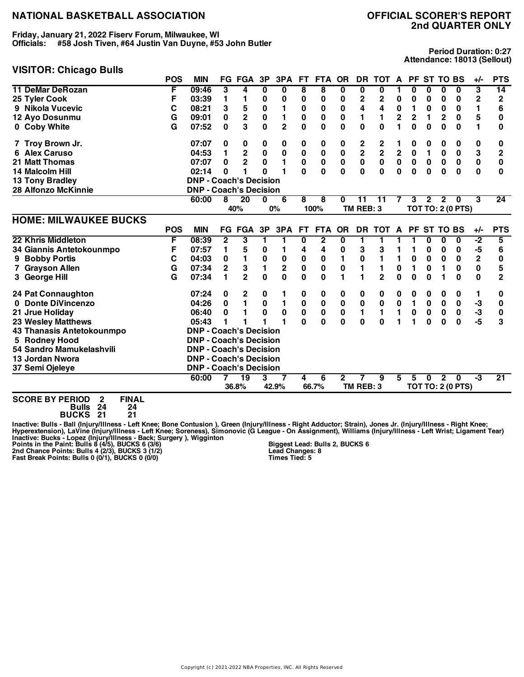**Friday, January 21, 2022 Fiserv Forum, Milwaukee, WI Officials: #58 Josh Tiven, #64 Justin Van Duyne, #53 John Butler**

#### **VISITOR: Chicago Bulls**

**Period Duration: 0:27 Attendance: 18013 (Sellout)**

|                              | <b>POS</b> | <b>MIN</b>                    |              | FG FGA        | 3P           | 3PA            | FT.          | <b>FTA</b> | <b>OR</b>    | DR.          | <b>TOT</b>              | $\mathbf{A}$            | PF.       |              | ST TO BS        |                          | $+/-$       | <b>PTS</b>      |
|------------------------------|------------|-------------------------------|--------------|---------------|--------------|----------------|--------------|------------|--------------|--------------|-------------------------|-------------------------|-----------|--------------|-----------------|--------------------------|-------------|-----------------|
| <b>11 DeMar DeRozan</b>      | F          | 09:46                         | 3            | 4             | 0            | 0              | 8            | 8          | 0            | 0            | 0                       |                         | 0         | 0            | 0               | $\overline{\mathbf{0}}$  | 3           | 14              |
| 25 Tyler Cook                | F          | 03:39                         | 1            | 1             | 0            | 0              | 0            | 0          | 0            | $\mathbf 2$  | $\mathbf 2$             | 0                       | 0         | 0            | 0               | 0                        | $\mathbf 2$ | 2               |
| 9 Nikola Vucevic             | С          | 08:21                         | 3            | 5             | $\pmb{0}$    | 1              | 0            | 0          | $\bf{0}$     | 4            | 4                       | $\pmb{0}$               | 1         | 0            | $\bf{0}$        | 0                        | 1           | 6               |
| 12 Ayo Dosunmu               | G          | 09:01                         | 0            | $\mathbf 2$   | $\pmb{0}$    | 1              | 0            | 0          | 0            | 1            | 1                       | $\overline{\mathbf{c}}$ | 2         | 1            | $\mathbf{2}$    | 0                        | 5           | 0               |
| 0 Coby White                 | G          | 07:52                         | 0            | 3             | 0            | $\overline{2}$ | 0            | 0          | 0            | 0            | $\mathbf{0}$            | 1                       | 0         | 0            | 0               | 0                        | 1           | 0               |
| 7 Troy Brown Jr.             |            | 07:07                         | 0            | 0             | 0            | 0              | 0            | 0          | 0            | 2            | 2                       |                         | 0         | 0            | 0               | 0                        | 0           | 0               |
| <b>6 Alex Caruso</b>         |            | 04:53                         | 1            | $\mathbf 2$   | $\pmb{0}$    | $\mathbf 0$    | $\pmb{0}$    | $\bf{0}$   | $\bf{0}$     | $\mathbf 2$  | $\overline{\mathbf{2}}$ | $\mathbf 2$             | 0         | 1            | $\bf{0}$        | 0                        | 3           | $\overline{2}$  |
| <b>21 Matt Thomas</b>        |            | 07:07                         | 0            | $\mathbf 2$   | $\pmb{0}$    | 1              | 0            | 0          | 0            | $\pmb{0}$    | $\pmb{0}$               | $\mathbf 0$             | $\bf{0}$  | $\mathbf 0$  | $\mathbf 0$     | $\mathbf 0$              | $\pmb{0}$   | 0               |
| 14 Malcolm Hill              |            | 02:14                         | 0            | 1             | $\bf{0}$     | 1              | O            | $\bf{0}$   | 0            | $\bf{0}$     | $\bf{0}$                | $\bf{0}$                | 0         | 0            | $\bf{0}$        | $\bf{0}$                 | 0           | 0               |
| <b>13 Tony Bradley</b>       |            | <b>DNP - Coach's Decision</b> |              |               |              |                |              |            |              |              |                         |                         |           |              |                 |                          |             |                 |
| <b>28 Alfonzo McKinnie</b>   |            | <b>DNP - Coach's Decision</b> |              |               |              |                |              |            |              |              |                         |                         |           |              |                 |                          |             |                 |
|                              |            | 60:00                         | 8            | 20            | $\bf{0}$     | 6              | 8            | 8          | $\bf{0}$     | 11           | 11                      | 7                       | 3         | $\mathbf{2}$ | $\mathbf{2}$    | $\bf{0}$                 | 3           | $\overline{24}$ |
|                              |            |                               |              | 40%           |              | 0%             |              | 100%       |              | TM REB: 3    |                         |                         |           |              |                 | <b>TOT TO: 2 (0 PTS)</b> |             |                 |
| <b>HOME: MILWAUKEE BUCKS</b> |            |                               |              |               |              |                |              |            |              |              |                         |                         |           |              |                 |                          |             |                 |
|                              | <b>POS</b> | <b>MIN</b>                    |              | <b>FG FGA</b> | 3P           | 3PA            | <b>FT</b>    | <b>FTA</b> | <b>OR</b>    | <b>DR</b>    | <b>TOT</b>              | A                       | PF.       |              | <b>ST TO BS</b> |                          | +/-         | <b>PTS</b>      |
| 22 Khris Middleton           | F          | 08:39                         | $\mathbf{2}$ | 3             | 1            | 1              | 0            | 2          | 0            | 1            | 1                       |                         | 1         | 0            | 0               | 0                        | -2          | 5               |
| 34 Giannis Antetokounmpo     | F          | 07:57                         | 1            | 5             | 0            | 1              | 4            | 4          | 0            | 3            | 3                       |                         | 1         | 0            | 0               | 0                        | -5          | 6               |
| 9 Bobby Portis               | С          | 04:03                         | 0            | 1             | $\pmb{0}$    | 0              | 0            | $\bf{0}$   | 1            | $\pmb{0}$    |                         | 1                       | $\bf{0}$  | 0            | $\bf{0}$        | 0                        | 2           | 0               |
| 7 Grayson Allen              | G          | 07:34                         | $\mathbf 2$  | 3             | $\mathbf{1}$ | 2              | $\pmb{0}$    | 0          | 0            | 1            | 1                       | $\bf{0}$                | 1         | 0            | 1               | 0                        | 0           | 5               |
| 3 George Hill                | G          | 07:34                         | 1            | $\mathbf{2}$  | $\mathbf 0$  | $\mathbf 0$    | 0            | 0          | 1            | 1            | $\overline{2}$          | 0                       | 0         | $\bf{0}$     |                 | $\bf{0}$                 | 0           | $\overline{2}$  |
| 24 Pat Connaughton           |            | 07:24                         | 0            | 2             | 0            | 1              | 0            | $\bf{0}$   | 0            | 0            | 0                       | 0                       | 0         | 0            | 0               | 0                        | 1           | 0               |
| 0 Donte DiVincenzo           |            | 04:26                         | 0            | 1             | $\pmb{0}$    | 1              | $\pmb{0}$    | 0          | 0            | $\pmb{0}$    | $\pmb{0}$               | 0                       | 1         | 0            | $\pmb{0}$       | 0                        | -3          | 0               |
| 21 Jrue Holiday              |            | 06:40                         | 0            |               | $\bf{0}$     | $\pmb{0}$      | $\pmb{0}$    | $\pmb{0}$  | $\bf{0}$     | 1            | 1                       | 1                       | $\pmb{0}$ | $\pmb{0}$    | $\pmb{0}$       | $\mathbf 0$              | -3          | 0               |
| <b>23 Wesley Matthews</b>    |            | 05:43                         |              |               |              | 1              | $\mathbf{0}$ | 0          | $\mathbf{0}$ | $\mathbf{0}$ | $\bf{0}$                |                         | 1         | $\bf{0}$     | 0               | $\mathbf{0}$             | $-5$        | 3               |
| 43 Thanasis Antetokounmpo    |            | <b>DNP - Coach's Decision</b> |              |               |              |                |              |            |              |              |                         |                         |           |              |                 |                          |             |                 |
| 5 Rodney Hood                |            | <b>DNP - Coach's Decision</b> |              |               |              |                |              |            |              |              |                         |                         |           |              |                 |                          |             |                 |
| 54 Sandro Mamukelashvili     |            | <b>DNP - Coach's Decision</b> |              |               |              |                |              |            |              |              |                         |                         |           |              |                 |                          |             |                 |
| 13 Jordan Nwora              |            | <b>DNP - Coach's Decision</b> |              |               |              |                |              |            |              |              |                         |                         |           |              |                 |                          |             |                 |
| 37 Semi Ojeleye              |            | <b>DNP - Coach's Decision</b> |              |               |              |                |              |            |              |              |                         |                         |           |              |                 |                          |             |                 |
|                              |            | 60:00                         |              | 19            | 3            |                | 4            | 6          | $\mathbf{2}$ |              | 9                       | 5                       | 5         | <sup>0</sup> | $\mathbf{2}$    | $\bf{0}$                 | ٠3          | $\overline{21}$ |
|                              |            |                               |              | 36.8%         |              | 42.9%          |              | 66.7%      |              | TM REB: 3    |                         |                         |           |              |                 | <b>TOT TO: 2 (0 PTS)</b> |             |                 |

**SCORE BY PERIOD 2 FINAL**

**Bulls 24 24 BUCKS 21 21**

lnactive: Bulls - Ball (Injury/Illness - Left Knee; Bone Contusion ), Green (Injury/Illness - Right Adductor; Strain), Jones Jr. (Injury/Illness - Right Knee;<br>Hyperextension), LaVine (Injury/Illness - Left Knee; Soreness),

**Biggest Lead: Bulls 2, BUCKS 6 Lead Changes: 8 Times Tied: 5**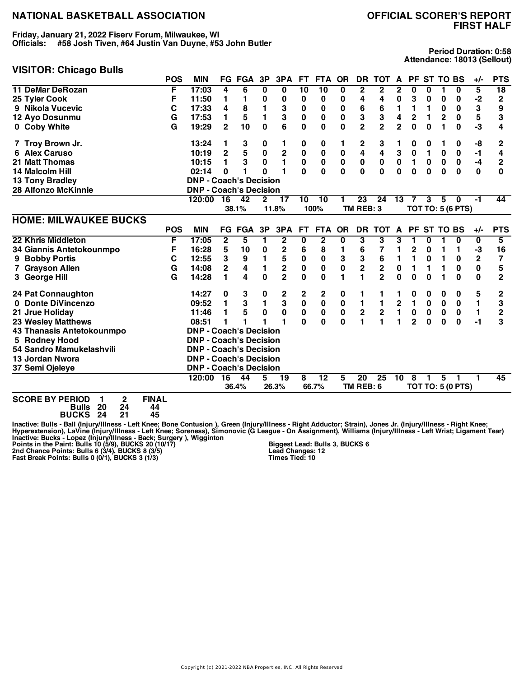**Friday, January 21, 2022 Fiserv Forum, Milwaukee, WI Officials: #58 Josh Tiven, #64 Justin Van Duyne, #53 John Butler**

#### **VISITOR: Chicago Bulls**

**Period Duration: 0:58 Attendance: 18013 (Sellout)**

|                              | <b>POS</b> | <b>MIN</b>                    |                | <b>FG FGA</b> | 3P           | 3PA                     | FT.       | FTA OR          |                         | DR                      | <b>TOT</b>              | $\mathsf{A}$   |                |             | PF ST TO BS     |                          | +/-            | <b>PTS</b>     |
|------------------------------|------------|-------------------------------|----------------|---------------|--------------|-------------------------|-----------|-----------------|-------------------------|-------------------------|-------------------------|----------------|----------------|-------------|-----------------|--------------------------|----------------|----------------|
| <b>11 DeMar DeRozan</b>      | F          | 17:03                         | 4              | 6             | 0            | 0                       | 10        | 10              | $\overline{\mathbf{0}}$ | $\overline{\mathbf{2}}$ | 2                       | 2              | 0              | 0           |                 | 0                        | 5              | 18             |
| 25 Tyler Cook                | F          | 11:50                         | 1              | 1             | 0            | 0                       | 0         | 0               | 0                       | 4                       | 4                       | 0              | 3              | 0           | 0               | 0                        | $-2$           | $\mathbf 2$    |
| 9 Nikola Vucevic             | C          | 17:33                         | 4              | 8             | 1            | 3                       | 0         | 0               | 0                       | 6                       | 6                       | 1              | 1              | 1           | 0               | 0                        | 3              | 9              |
| 12 Ayo Dosunmu               | G          | 17:53                         | 1              | 5             | 1            | 3                       | 0         | 0               | $\bf{0}$                | 3                       | 3                       | 4              | 2              | 1           | $\overline{2}$  | 0                        | 5              | 3              |
| 0 Coby White                 | G          | 19:29                         | $\mathbf 2$    | 10            | $\mathbf{0}$ | 6                       | 0         | 0               | 0                       | $\overline{2}$          | $\overline{\mathbf{2}}$ | $\overline{2}$ | $\mathbf 0$    | $\bf{0}$    | 1               | $\mathbf 0$              | $-3$           | 4              |
| 7 Troy Brown Jr.             |            | 13:24                         | 1              | 3             | 0            | 1                       | 0         | 0               | 1                       | 2                       | 3                       |                | 0              | 0           | 1               | 0                        | -8             | 2              |
| 6 Alex Caruso                |            | 10:19                         | $\mathbf{2}$   | 5             | $\pmb{0}$    | $\mathbf 2$             | 0         | $\pmb{0}$       | 0                       | 4                       | 4                       | 3              | $\mathbf 0$    | 1           | 0               | 0                        | -1             | 4              |
| 21 Matt Thomas               |            | 10:15                         | 1              | 3             | $\pmb{0}$    | 1                       | $\pmb{0}$ | $\pmb{0}$       | $\bf{0}$                | 0                       | $\pmb{0}$               | $\mathbf 0$    | 1              | 0           | $\pmb{0}$       | $\bf{0}$                 | $-4$           | 2              |
| 14 Malcolm Hill              |            | 02:14                         | 0              | 1             | 0            | 1                       | 0         | 0               | 0                       | $\bf{0}$                | $\bf{0}$                | $\bf{0}$       | 0              | $\bf{0}$    | 0               | 0                        | $\mathbf{0}$   | 0              |
| <b>13 Tony Bradley</b>       |            | <b>DNP - Coach's Decision</b> |                |               |              |                         |           |                 |                         |                         |                         |                |                |             |                 |                          |                |                |
| 28 Alfonzo McKinnie          |            | <b>DNP - Coach's Decision</b> |                |               |              |                         |           |                 |                         |                         |                         |                |                |             |                 |                          |                |                |
|                              |            | 120:00                        | 16             | 42            | $\mathbf{2}$ | 17                      | 10        | 10              | 1                       | 23                      | 24                      | 13             | 7              | 3           | 5               | $\bf{0}$                 | $-1$           | 44             |
|                              |            |                               |                | 38.1%         |              | 11.8%                   |           | 100%            |                         | TM REB: 3               |                         |                |                |             |                 | <b>TOT TO: 5 (6 PTS)</b> |                |                |
| <b>HOME: MILWAUKEE BUCKS</b> |            |                               |                |               |              |                         |           |                 |                         |                         |                         |                |                |             |                 |                          |                |                |
|                              | <b>POS</b> | <b>MIN</b>                    |                | <b>FG FGA</b> | 3P           | 3PA                     | <b>FT</b> | <b>FTA</b>      | <b>OR</b>               | <b>DR</b>               | <b>TOT</b>              | $\mathsf{A}$   | <b>PF</b>      |             | <b>ST TO BS</b> |                          | $+/-$          | <b>PTS</b>     |
| 22 Khris Middleton           | F          | 17:05                         | 2              | 5             | 1            | $\overline{\mathbf{c}}$ | 0         | $\overline{2}$  | 0                       | 3                       | 3                       | 3              | 1              | 0           |                 | 0                        | 0              | 5              |
| 34 Giannis Antetokounmpo     | F          | 16:28                         | 5              | 10            | 0            | $\mathbf 2$             | 6         | 8               | 1                       | 6                       | 7                       |                | 2              | 0           | 1               | 1                        | -3             | 16             |
| <b>Bobby Portis</b>          | С          | 12:55                         | 3              | 9             | 1            | 5                       | $\pmb{0}$ | $\bf{0}$        | 3                       | 3                       | 6                       | 1              | 1              | 0           | 1               | 0                        | $\overline{2}$ | 7              |
| <b>Grayson Allen</b>         | G          | 14:08                         | $\overline{2}$ | 4             | 1            | $\overline{\mathbf{2}}$ | 0         | $\mathbf 0$     | $\mathbf 0$             | $\overline{\mathbf{2}}$ | $\overline{\mathbf{2}}$ | $\mathbf 0$    | $\mathbf{1}$   | 1           | 1               | $\mathbf 0$              | $\mathbf 0$    | 5              |
| 3 George Hill                | G          | 14:28                         | 1.             | 4             | $\bf{0}$     | $\overline{2}$          | $\bf{0}$  | $\bf{0}$        | 1                       | 1                       | $\overline{2}$          | $\Omega$       | 0              | $\Omega$    | 1               | $\bf{0}$                 | $\bf{0}$       | $\overline{2}$ |
| <b>24 Pat Connaughton</b>    |            | 14:27                         | 0              | 3             | 0            | 2                       | 2         | 2               | 0                       | 1                       |                         | 1              | 0              | 0           | 0               | 0                        | ${\bf 5}$      | 2              |
| 0 Donte DiVincenzo           |            | 09:52                         | 1              | 3             | 1            | 3                       | 0         | $\pmb{0}$       | $\bf{0}$                | 1                       | 1                       | 2              | 1              | $\mathbf 0$ | $\pmb{0}$       | 0                        | 1              | 3              |
| 21 Jrue Holiday              |            | 11:46                         | 1              | 5             | 0            | 0                       | 0         | $\mathbf 0$     | $\mathbf 0$             | $\mathbf 2$             | $\overline{\mathbf{2}}$ | 1              | $\pmb{0}$      | $\bf{0}$    | 0               | 0                        | 1              | $\overline{2}$ |
| <b>23 Wesley Matthews</b>    |            | 08:51                         |                |               |              | 1                       | 0         | 0               | $\bf{0}$                | 1                       |                         | 1              | $\overline{2}$ | $\bf{0}$    | $\bf{0}$        | 0                        | -1             | 3              |
| 43 Thanasis Antetokounmpo    |            | <b>DNP - Coach's Decision</b> |                |               |              |                         |           |                 |                         |                         |                         |                |                |             |                 |                          |                |                |
| 5 Rodney Hood                |            | <b>DNP - Coach's Decision</b> |                |               |              |                         |           |                 |                         |                         |                         |                |                |             |                 |                          |                |                |
| 54 Sandro Mamukelashvili     |            | <b>DNP - Coach's Decision</b> |                |               |              |                         |           |                 |                         |                         |                         |                |                |             |                 |                          |                |                |
| 13 Jordan Nwora              |            | <b>DNP - Coach's Decision</b> |                |               |              |                         |           |                 |                         |                         |                         |                |                |             |                 |                          |                |                |
| 37 Semi Ojeleye              |            | <b>DNP - Coach's Decision</b> |                |               |              |                         |           |                 |                         |                         |                         |                |                |             |                 |                          |                |                |
|                              |            | 120:00                        | 16             | 44            | 5            | $\overline{19}$         | 8         | $\overline{12}$ | 5                       | $\overline{20}$         | $\overline{25}$         | 10             | 8              |             | 5               |                          |                | 45             |
|                              |            |                               |                | 36.4%         |              | 26.3%                   |           | 66.7%           |                         | TM REB: 6               |                         |                |                |             |                 | <b>TOT TO: 5 (0 PTS)</b> |                |                |

**SCORE BY PERIOD 1 2 FINAL Bulls 20 24 44 BUCKS 24 21 45**

lnactive: Bulls - Ball (Injury/Illness - Left Knee; Bone Contusion ), Green (Injury/Illness - Right Adductor; Strain), Jones Jr. (Injury/Illness - Right Knee;<br>Hyperextension), LaVine (Injury/Illness - Left Knee; Soreness),

**Biggest Lead: Bulls 3, BUCKS 6 Lead Changes: 12 Times Tied: 10**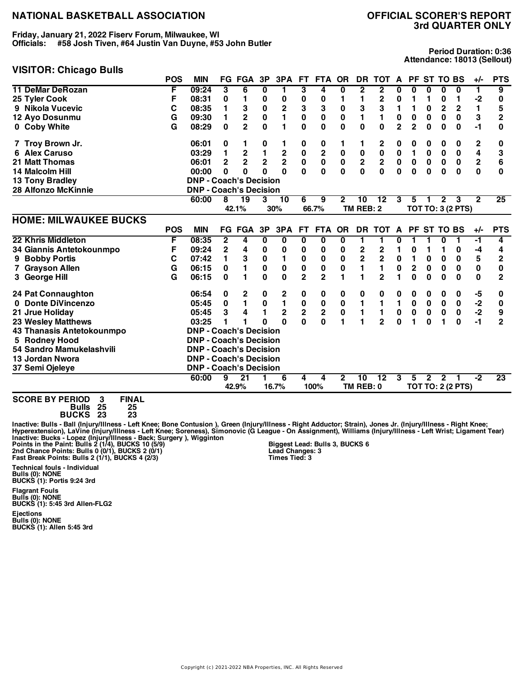**Friday, January 21, 2022 Fiserv Forum, Milwaukee, WI Officials: #58 Josh Tiven, #64 Justin Van Duyne, #53 John Butler**

# **VISITOR: Chicago Bulls**

**Period Duration: 0:36 Attendance: 18013 (Sellout)**

|                              | <b>POS</b> | <b>MIN</b>                    |              | <b>FG FGA</b>           | 3P                      | 3PA                     | FT.                                   | <b>FTA</b>              | <b>OR</b>    | DR.                     | <b>TOT</b>              | A              |                         | PF ST TO BS |              |                          | $+/-$          | <b>PTS</b>     |
|------------------------------|------------|-------------------------------|--------------|-------------------------|-------------------------|-------------------------|---------------------------------------|-------------------------|--------------|-------------------------|-------------------------|----------------|-------------------------|-------------|--------------|--------------------------|----------------|----------------|
| <b>11 DeMar DeRozan</b>      | F          | 09:24                         | 3            | 6                       | 0                       | 1                       | 3                                     | 4                       | 0            | 2                       | 2                       | 0              | 0                       | 0           | 0            | 0                        | 1              | 9              |
| 25 Tyler Cook                | F          | 08:31                         | 0            | 1                       | 0                       | 0                       | 0                                     | 0                       | 1            | 1                       | $\mathbf 2$             | 0              | 1                       | 1           | 0            | 1                        | $-2$           | 0              |
| 9 Nikola Vucevic             | С          | 08:35                         | 1            | 3                       | $\mathbf 0$             | $\mathbf 2$             | 3                                     | 3                       | $\mathbf 0$  | 3                       | 3                       | 1              | 1                       | 0           | $\mathbf 2$  | $\mathbf 2$              | $\blacksquare$ | 5              |
| 12 Ayo Dosunmu               | G          | 09:30                         | 1            | $\mathbf 2$             | $\pmb{0}$               | 1                       | 0                                     | 0                       | 0            | 1                       | 1                       | $\pmb{0}$      | $\pmb{0}$               | 0           | 0            | 0                        | 3              | $\overline{2}$ |
| 0 Coby White                 | G          | 08:29                         | 0            | $\mathbf{2}$            | $\bf{0}$                | 1                       | 0                                     | 0                       | 0            | $\bf{0}$                | $\mathbf{0}$            | $\overline{2}$ | $\overline{2}$          | $\bf{0}$    | $\bf{0}$     | 0                        | -1             | 0              |
| 7 Troy Brown Jr.             |            | 06:01                         | 0            | 1                       | 0                       | 1                       | 0                                     | 0                       | 1            | 1                       | $\mathbf 2$             | 0              | 0                       | 0           | 0            | 0                        | 2              | 0              |
| <b>6 Alex Caruso</b>         |            | 03:29                         | 1            | $\mathbf 2$             | $\blacksquare$          | $\bf 2$                 | $\pmb{0}$                             | $\overline{\mathbf{c}}$ | $\bf{0}$     | $\pmb{0}$               | 0                       | 0              | 1                       | 0           | $\bf{0}$     | 0                        | 4              | 3              |
| 21 Matt Thomas               |            | 06:01                         | $\mathbf 2$  | $\overline{\mathbf{c}}$ | $\overline{\mathbf{2}}$ | $\overline{2}$          | $\mathbf 0$                           | $\mathbf 0$             | $\pmb{0}$    | $\mathbf 2$             | $\mathbf 2$             | $\pmb{0}$      | $\bf{0}$                | $\pmb{0}$   | $\pmb{0}$    | $\pmb{0}$                | $\mathbf 2$    | 6              |
| 14 Malcolm Hill              |            | 00:00                         | 0            | $\bf{0}$                | $\bf{0}$                | $\Omega$                | $\Omega$                              | $\mathbf{0}$            | $\mathbf{0}$ | $\mathbf 0$             | $\mathbf 0$             | $\bf{0}$       | 0                       | $\bf{0}$    | 0            | $\bf{0}$                 | $\mathbf 0$    | 0              |
| 13 Tony Bradley              |            | <b>DNP - Coach's Decision</b> |              |                         |                         |                         |                                       |                         |              |                         |                         |                |                         |             |              |                          |                |                |
| <b>28 Alfonzo McKinnie</b>   |            | <b>DNP - Coach's Decision</b> |              |                         |                         |                         |                                       |                         |              |                         |                         |                |                         |             |              |                          |                |                |
|                              |            | 60:00                         | 8            | 19                      | 3                       | 10                      | 6                                     | 9                       | $\mathbf 2$  | 10                      | 12                      | 3              | 5                       | 1           | $\mathbf{2}$ | 3                        | $\mathbf{2}$   | 25             |
|                              |            |                               |              | 42.1%                   |                         | 30%                     |                                       | 66.7%                   |              | TM REB: 2               |                         |                |                         |             |              | <b>TOT TO: 3 (2 PTS)</b> |                |                |
| <b>HOME: MILWAUKEE BUCKS</b> |            |                               |              |                         |                         |                         |                                       |                         |              |                         |                         |                |                         |             |              |                          |                |                |
|                              | <b>POS</b> | <b>MIN</b>                    |              | <b>FG FGA</b>           | 3P                      | 3PA                     | FT.                                   | FTA OR                  |              | <b>DR</b>               | <b>TOT</b>              | A              |                         | PF ST TO BS |              |                          | $+/-$          | <b>PTS</b>     |
| 22 Khris Middleton           | F          | 08:35                         | $\mathbf{2}$ | 4                       | 0                       | 0                       | 0                                     | 0                       | 0            | 1                       | 1                       | 0              | 1                       | 1           | 0            | 1                        | $-1$           | 4              |
| 34 Giannis Antetokounmpo     | F          | 09:24                         | $\mathbf{2}$ | 4                       | 0                       | 0                       | 0                                     | 0                       | 0            | $\mathbf 2$             | $\mathbf 2$             | 1              | 0                       | 1           | 1            | 0                        | -4             | 4              |
| <b>Bobby Portis</b><br>9     | C          | 07:42                         | 1            | 3                       | $\pmb{0}$               | 1                       | 0                                     | 0                       | 0            | $\overline{\mathbf{c}}$ | $\overline{\mathbf{2}}$ | $\pmb{0}$      | 1                       | 0           | 0            | 0                        | 5              | 2              |
| 7 Grayson Allen              | G          | 06:15                         | 0            | 1                       | $\pmb{0}$               | $\pmb{0}$               | 0                                     | 0                       | 0            | 1                       | 1                       | 0              | $\overline{\mathbf{c}}$ | 0           | $\bf{0}$     | 0                        | $\mathbf 0$    | 0              |
| 3 George Hill                | G          | 06:15                         | 0            | 1                       | $\mathbf 0$             | $\mathbf 0$             | $\overline{2}$                        | $\overline{2}$          | 1            | 1                       | $\overline{2}$          |                | $\mathbf 0$             | $\bf{0}$    | $\bf{0}$     | $\bf{0}$                 | $\mathbf 0$    | $\overline{2}$ |
| 24 Pat Connaughton           |            | 06:54                         | 0            | 2                       | 0                       | 2                       | 0                                     | 0                       | 0            | 0                       | 0                       | 0              | 0                       | 0           | 0            | 0                        | -5             | 0              |
| 0 Donte DiVincenzo           |            | 05:45                         | 0            | $\mathbf{1}$            | $\pmb{0}$               | $\blacksquare$          | $\begin{array}{c} 0 \\ 2 \end{array}$ | $\pmb{0}$               | $\pmb{0}$    | 1                       | 1                       | 1              | 0                       | $\mathbf 0$ | $\pmb{0}$    | 0                        | $-2$           | 0              |
| 21 Jrue Holiday              |            | 05:45                         | 3            | 4                       | 1                       | $\overline{\mathbf{2}}$ |                                       | $\overline{\mathbf{c}}$ | $\mathbf 0$  | 1                       | $\mathbf{1}$            | $\pmb{0}$      | 0                       | 0           | 0            | 0                        | $-2$           | 9              |
| <b>23 Wesley Matthews</b>    |            | 03:25                         | 1            |                         | $\bf{0}$                | $\Omega$                | 0                                     | $\bf{0}$                | 1            | 1                       | $\overline{2}$          | $\bf{0}$       | 1                       | $\bf{0}$    | 1            | $\bf{0}$                 | $-1$           | $\overline{2}$ |
| 43 Thanasis Antetokounmpo    |            | <b>DNP - Coach's Decision</b> |              |                         |                         |                         |                                       |                         |              |                         |                         |                |                         |             |              |                          |                |                |
| 5 Rodney Hood                |            | <b>DNP - Coach's Decision</b> |              |                         |                         |                         |                                       |                         |              |                         |                         |                |                         |             |              |                          |                |                |
| 54 Sandro Mamukelashvili     |            | <b>DNP - Coach's Decision</b> |              |                         |                         |                         |                                       |                         |              |                         |                         |                |                         |             |              |                          |                |                |
| 13 Jordan Nwora              |            | <b>DNP - Coach's Decision</b> |              |                         |                         |                         |                                       |                         |              |                         |                         |                |                         |             |              |                          |                |                |
| 37 Semi Ojeleye              |            | <b>DNP - Coach's Decision</b> |              |                         |                         |                         |                                       |                         |              |                         |                         |                |                         |             |              |                          |                |                |
|                              |            | 60:00                         | 9            | $\overline{21}$         |                         | 6                       | 4                                     | 4                       | $\mathbf{2}$ | 10                      | $\overline{12}$         | 3              | 5                       | 2           | $\mathbf{2}$ |                          | -2             | 23             |
|                              |            |                               |              | 42.9%                   |                         | 16.7%                   |                                       | 100%                    |              | TM REB: 0               |                         |                |                         |             |              | <b>TOT TO: 2 (2 PTS)</b> |                |                |

**SCORE BY PERIOD 3 FINAL Bulls 25 25 BUCKS 23 23**

lnactive: Bulls - Ball (Injury/Illness - Left Knee; Bone Contusion ), Green (Injury/Illness - Right Adductor; Strain), Jones Jr. (Injury/Illness - Right Knee;<br>Hyperextension), LaVine (Injury/Illness - Left Knee; Soreness), **Biggest Lead: Bulls 3, BUCKS 6 Lead Changes: 3 Times Tied: 3**

**Technical fouls - Individual Bulls (0): NONE BUCKS (1): Portis 9:24 3rd**

**Flagrant Fouls Bulls (0): NONE BUCKS (1): 5:45 3rd Allen-FLG2**

**Ejections Bulls (0): NONE BUCKS (1): Allen 5:45 3rd**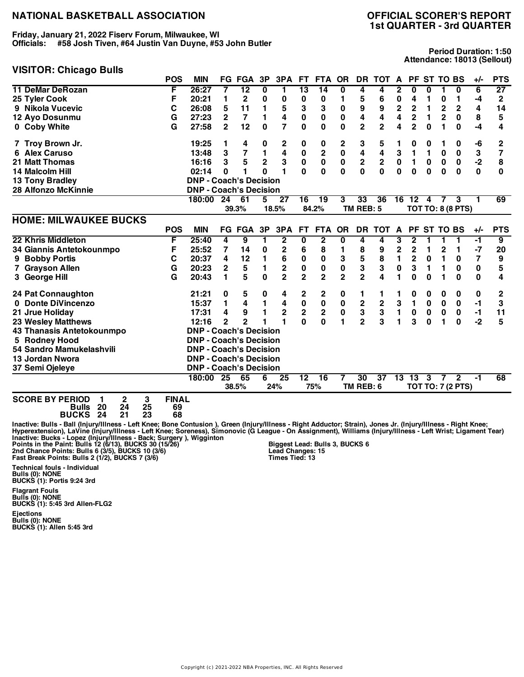**Friday, January 21, 2022 Fiserv Forum, Milwaukee, WI Officials: #58 Josh Tiven, #64 Justin Van Duyne, #53 John Butler**

#### **VISITOR: Chicago Bulls**

**Period Duration: 1:50 Attendance: 18013 (Sellout)**

| .<br>ືອ                      | <b>POS</b> | <b>MIN</b>                    |                 | <b>FG FGA</b>           | 3P             | 3PA                     | FT.                     | <b>FTA</b>              | <b>OR</b>      | DR.             | <b>TOT</b>       | A                       |                | PF ST TO BS |                 |                          | $+/-$        | <b>PTS</b>     |
|------------------------------|------------|-------------------------------|-----------------|-------------------------|----------------|-------------------------|-------------------------|-------------------------|----------------|-----------------|------------------|-------------------------|----------------|-------------|-----------------|--------------------------|--------------|----------------|
| <b>11 DeMar DeRozan</b>      | F          | 26:27                         | 7               | 12                      | 0              | 1                       | 13                      | 14                      | 0              | 4               | 4                | 2                       | 0              | 0           |                 | 0                        | 6            | 27             |
| 25 Tyler Cook                | F          | 20:21                         | 1               | 2                       | 0              | 0                       | 0                       | 0                       | 1              | 5               | 6                | 0                       | 4              | 1           | 0               | 1                        | -4           | $\mathbf 2$    |
| 9 Nikola Vucevic             | C          | 26:08                         | 5               | 11                      | 1              | 5                       | 3                       | 3                       | $\bf{0}$       | 9               | 9                | 2                       | $\overline{2}$ | 1           | $\mathbf 2$     | $\overline{\mathbf{2}}$  | 4            | 14             |
| 12 Ayo Dosunmu               | G          | 27:23                         | $\mathbf 2$     | $\overline{7}$          | $\mathbf{1}$   | 4                       | 0                       | 0                       | 0              | 4               | 4                | 4                       | 2              | 1           | $\mathbf 2$     | 0                        | 8            | 5              |
| 0 Coby White                 | G          | 27:58                         | $\mathbf{2}$    | 12                      | $\bf{0}$       | 7                       | 0                       | 0                       | 0              | $\overline{2}$  | $\overline{2}$   | 4                       | $\overline{2}$ | $\bf{0}$    | 1               | 0                        | -4           | 4              |
| 7 Troy Brown Jr.             |            | 19:25                         | 1               | 4                       | 0              | 2                       | 0                       | 0                       | 2              | 3               | 5                |                         | 0              | 0           |                 | 0                        | -6           | 2              |
| 6 Alex Caruso                |            | 13:48                         | 3               | $\overline{\mathbf{z}}$ | 1              | 4                       | 0                       | 2                       | $\bf{0}$       | 4               | 4                | 3                       | 1              | 1           | $\bf{0}$        | 0                        | 3            | 7              |
| 21 Matt Thomas               |            | 16:16                         | 3               | 5                       | $\mathbf 2$    | 3                       | $\pmb{0}$               | $\pmb{0}$               | $\pmb{0}$      | $\bf 2$         | $\boldsymbol{2}$ | $\mathbf 0$             | 1              | $\pmb{0}$   | $\pmb{0}$       | $\pmb{0}$                | $-2$         | 8              |
| 14 Malcolm Hill              |            | 02:14                         | 0               | 1                       | $\bf{0}$       | 1                       | $\mathbf{0}$            | $\mathbf{0}$            | $\bf{0}$       | $\mathbf{0}$    | $\mathbf 0$      | $\bf{0}$                | 0              | $\bf{0}$    | $\bf{0}$        | $\bf{0}$                 | $\mathbf{0}$ | 0              |
| <b>13 Tony Bradley</b>       |            | <b>DNP - Coach's Decision</b> |                 |                         |                |                         |                         |                         |                |                 |                  |                         |                |             |                 |                          |              |                |
| 28 Alfonzo McKinnie          |            | <b>DNP - Coach's Decision</b> |                 |                         |                |                         |                         |                         |                |                 |                  |                         |                |             |                 |                          |              |                |
|                              |            | 180:00                        | 24              | 61                      | 5              | 27                      | 16                      | $\overline{19}$         | 3              | 33              | 36               | 16                      | 12             | 4           | $\overline{7}$  | 3                        | 1            | 69             |
|                              |            |                               |                 | 39.3%                   |                | 18.5%                   |                         | 84.2%                   |                | TM REB: 5       |                  |                         |                |             |                 | <b>TOT TO: 8 (8 PTS)</b> |              |                |
| <b>HOME: MILWAUKEE BUCKS</b> |            |                               |                 |                         |                |                         |                         |                         |                |                 |                  |                         |                |             |                 |                          |              |                |
|                              | <b>POS</b> | <b>MIN</b>                    |                 | <b>FG FGA</b>           | 3P             | 3PA                     | <b>FT</b>               | <b>FTA</b>              | <b>OR</b>      | <b>DR</b>       | <b>TOT</b>       | A                       | PF.            |             | <b>ST TO BS</b> |                          | $+/-$        | <b>PTS</b>     |
| 22 Khris Middleton           | F          | 25:40                         | 4               | 9                       | 1              | 2                       | 0                       | $\overline{\mathbf{2}}$ | 0              | 4               | 4                | 3                       | 2              |             |                 | 1                        | $-1$         | $\overline{9}$ |
| 34 Giannis Antetokounmpo     | F          | 25:52                         | 7               | 14                      | 0              | 2                       | 6                       | 8                       | 1              | 8               | 9                | $\overline{\mathbf{c}}$ | $\overline{2}$ | 1           | 2               | 1                        | -7           | 20             |
| 9 Bobby Portis               | С          | 20:37                         | 4               | 12                      | $\mathbf{1}$   | 6                       | 0                       | 0                       | 3              | 5               | 8                | 1                       | 2              | 0           | 1               | 0                        | 7            | 9              |
| 7 Grayson Allen              | G          | 20:23                         | $\mathbf 2$     | 5                       | 1              | 2                       | 0                       | $\bf{0}$                | $\bf{0}$       | 3               | 3                | 0                       | 3              | 1           | 1               | 0                        | 0            | 5              |
| 3 George Hill                | G          | 20:43                         | 1               | 5                       | $\bf{0}$       | $\overline{2}$          | $\overline{2}$          | $\overline{2}$          | $\overline{2}$ | $\overline{2}$  | 4                |                         | 0              | 0           |                 | $\bf{0}$                 | 0            | 4              |
| 24 Pat Connaughton           |            | 21:21                         | 0               | 5                       | 0              | 4                       | 2                       | 2                       | 0              | 1               |                  |                         | 0              | 0           | 0               | 0                        | 0            | 2              |
| 0 Donte DiVincenzo           |            | 15:37                         | 1               | 4                       | $\blacksquare$ | 4                       | $\pmb{0}$               | $\pmb{0}$               | $\pmb{0}$      |                 |                  | 3                       | 1              | $\mathbf 0$ | $\pmb{0}$       | $\mathbf 0$              | $-1$         | 3              |
| 21 Jrue Holiday              |            | 17:31                         | 4               | 9                       | 1              | $\overline{\mathbf{c}}$ | $\overline{\mathbf{2}}$ | $\overline{\mathbf{c}}$ | $\mathbf 0$    | $\frac{2}{3}$   | $\frac{2}{3}$    | $\blacksquare$          | $\mathbf 0$    | $\pmb{0}$   | $\pmb{0}$       | 0                        | $-1$         | 11             |
| <b>23 Wesley Matthews</b>    |            | 12:16                         | $\overline{2}$  | $\overline{2}$          |                | 1                       | $\mathbf{0}$            | 0                       | 1              | $\overline{2}$  | 3                | 1                       | 3              | 0           | 1               | $\mathbf 0$              | $-2$         | 5              |
| 43 Thanasis Antetokounmpo    |            | <b>DNP - Coach's Decision</b> |                 |                         |                |                         |                         |                         |                |                 |                  |                         |                |             |                 |                          |              |                |
| 5 Rodney Hood                |            | <b>DNP - Coach's Decision</b> |                 |                         |                |                         |                         |                         |                |                 |                  |                         |                |             |                 |                          |              |                |
| 54 Sandro Mamukelashvili     |            | <b>DNP - Coach's Decision</b> |                 |                         |                |                         |                         |                         |                |                 |                  |                         |                |             |                 |                          |              |                |
| 13 Jordan Nwora              |            | <b>DNP - Coach's Decision</b> |                 |                         |                |                         |                         |                         |                |                 |                  |                         |                |             |                 |                          |              |                |
| 37 Semi Ojeleye              |            | <b>DNP - Coach's Decision</b> |                 |                         |                |                         |                         |                         |                |                 |                  |                         |                |             |                 |                          |              |                |
|                              |            | 180:00                        | $\overline{25}$ | 65                      | 6              | 25                      | $\overline{12}$         | $\overline{16}$         |                | $\overline{30}$ | $\overline{37}$  | 13                      | 13             | 3           | 7               | $\mathbf{2}$             | -1           | 68             |
|                              |            |                               |                 | 38.5%                   |                | 24%                     |                         | 75%                     |                | TM REB: 6       |                  |                         |                |             |                 | <b>TOT TO: 7 (2 PTS)</b> |              |                |

**SCORE BY PERIOD 1 2 3 FINAL Bulls 20 24 25 69**

**BUCKS 24 21 23 68**

lnactive: Bulls - Ball (Injury/Illness - Left Knee; Bone Contusion ), Green (Injury/Illness - Right Adductor; Strain), Jones Jr. (Injury/Illness - Right Knee;<br>Hyperextension), LaVine (Injury/Illness - Left Knee; Soreness), **Biggest Lead: Bulls 3, BUCKS 6 Lead Changes: 15 Times Tied: 13**

**Technical fouls - Individual Bulls (0): NONE BUCKS (1): Portis 9:24 3rd**

**Flagrant Fouls Bulls (0): NONE BUCKS (1): 5:45 3rd Allen-FLG2**

**Ejections Bulls (0): NONE BUCKS (1): Allen 5:45 3rd**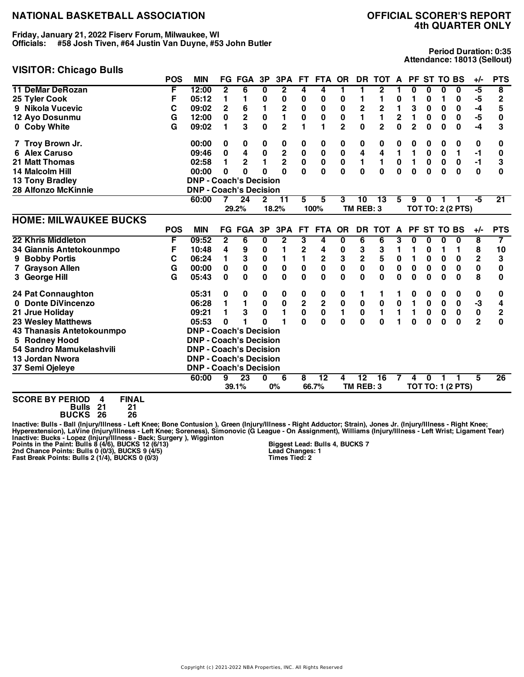**Friday, January 21, 2022 Fiserv Forum, Milwaukee, WI Officials: #58 Josh Tiven, #64 Justin Van Duyne, #53 John Butler**

#### **VISITOR: Chicago Bulls**

**Period Duration: 0:35 Attendance: 18013 (Sellout)**

|                              | <b>POS</b> | <b>MIN</b>                    |              | <b>FG FGA</b>   | 3P             | 3PA            | FT.                     | <b>FTA</b>              | <b>OR</b>    | <b>DR</b>    | <b>TOT</b>     | A            |                | PF ST TO BS |                 |                          | $+/-$          | <b>PTS</b>              |
|------------------------------|------------|-------------------------------|--------------|-----------------|----------------|----------------|-------------------------|-------------------------|--------------|--------------|----------------|--------------|----------------|-------------|-----------------|--------------------------|----------------|-------------------------|
| <b>11 DeMar DeRozan</b>      | F          | 12:00                         | $\mathbf{2}$ | 6               | 0              | $\overline{2}$ | 4                       | 4                       | 1            | 1            | $\mathbf{2}$   |              | 0              | 0           | 0               | $\bf{0}$                 | -5             | $\overline{\mathbf{8}}$ |
| 25 Tyler Cook                | F          | 05:12                         | 1            | 1               | $\bf{0}$       | 0              | 0                       | 0                       | 0            | 1            | 1              | 0            | 1              | 0           | 1               | 0                        | -5             | $\overline{2}$          |
| 9 Nikola Vucevic             | C          | 09:02                         | $\mathbf 2$  | 6               | 1              | 2              | $\bf{0}$                | $\bf{0}$                | $\bf{0}$     | $\mathbf 2$  | $\mathbf 2$    | 1            | 3              | 0           | 0               | 0                        | -4             | 5                       |
| 12 Ayo Dosunmu               | G          | 12:00                         | 0            | $\mathbf 2$     | $\pmb{0}$      | 1              | $\pmb{0}$               | 0                       | 0            | 1            | $\blacksquare$ | $\mathbf 2$  | 1              | $\bf{0}$    | $\bf{0}$        | 0                        | -5             | 0                       |
| 0 Coby White                 | G          | 09:02                         | 1            | 3               | $\bf{0}$       | $\overline{2}$ | 1                       | 1                       | $\mathbf{2}$ | $\bf{0}$     | $\overline{2}$ | $\bf{0}$     | $\overline{2}$ | 0           | 0               | 0                        | -4             | 3                       |
| 7 Troy Brown Jr.             |            | 00:00                         | 0            | 0               | 0              | $\bf{0}$       | 0                       | 0                       | 0            | 0            | 0              | 0            | 0              | 0           | 0               | 0                        | 0              | 0                       |
| 6 Alex Caruso                |            | 09:46                         | 0            | 4               | $\mathbf 0$    | $\mathbf 2$    | $\bf{0}$                | $\pmb{0}$               | $\bf{0}$     | 4            | 4              | 1            | 1              | 0           | $\bf{0}$        | $\mathbf{1}$             | -1             | 0                       |
| <b>21 Matt Thomas</b>        |            | 02:58                         | 1            | $\mathbf 2$     | $\blacksquare$ | $\overline{2}$ | $\mathbf 0$             | $\pmb{0}$               | $\pmb{0}$    | $\mathbf{1}$ | $\blacksquare$ | 0            | $\mathbf{1}$   | $\pmb{0}$   | $\pmb{0}$       | $\pmb{0}$                | $-1$           | 3                       |
| 14 Malcolm Hill              |            | 00:00                         | 0            | $\bf{0}$        | $\bf{0}$       | $\Omega$       | O                       | $\mathbf{0}$            | $\bf{0}$     | $\Omega$     | $\mathbf 0$    | $\Omega$     | 0              | $\bf{0}$    | $\bf{0}$        | $\bf{0}$                 | 0              | 0                       |
| <b>13 Tony Bradley</b>       |            | <b>DNP - Coach's Decision</b> |              |                 |                |                |                         |                         |              |              |                |              |                |             |                 |                          |                |                         |
| <b>28 Alfonzo McKinnie</b>   |            | <b>DNP - Coach's Decision</b> |              |                 |                |                |                         |                         |              |              |                |              |                |             |                 |                          |                |                         |
|                              |            | 60:00                         | 7            | 24              | 2              | 11             | 5                       | 5                       | 3            | 10           | 13             | 5            | 9              | $\bf{0}$    |                 |                          | -5             | $\overline{21}$         |
|                              |            |                               |              | 29.2%           |                | 18.2%          |                         | 100%                    |              | TM REB: 3    |                |              |                |             |                 | <b>TOT TO: 2 (2 PTS)</b> |                |                         |
| <b>HOME: MILWAUKEE BUCKS</b> |            |                               |              |                 |                |                |                         |                         |              |              |                |              |                |             |                 |                          |                |                         |
|                              | <b>POS</b> | <b>MIN</b>                    |              | <b>FG FGA</b>   | 3P             | 3PA            | <b>FT</b>               | <b>FTA</b>              | <b>OR</b>    | <b>DR</b>    | <b>TOT</b>     | $\mathbf{A}$ | <b>PF</b>      |             | <b>ST TO BS</b> |                          | $+/-$          | <b>PTS</b>              |
| 22 Khris Middleton           | F          | 09:52                         | $\mathbf{2}$ | 6               | 0              | $\mathbf{2}$   | 3                       | 4                       | 0            | 6            | 6              | 3            | $\bf{0}$       | 0           | $\bf{0}$        | $\mathbf 0$              | 8              | $\overline{\mathbf{7}}$ |
| 34 Giannis Antetokounmpo     | F          | 10:48                         | 4            | 9               | 0              | 1              | 2                       | 4                       | 0            | 3            | 3              | 1            | 1              | 0           | 1               | 1                        | 8              | 10                      |
| 9 Bobby Portis               | C          | 06:24                         | 1            | 3               | $\pmb{0}$      | 1              | 1                       | $\mathbf 2$             | 3            | $\mathbf 2$  | 5              | $\mathbf 0$  | 1              | 0           | 0               | 0                        | $\mathbf 2$    | 3                       |
| 7 Grayson Allen              | G          | 00:00                         | 0            | $\pmb{0}$       | $\mathbf 0$    | $\pmb{0}$      | 0                       | $\pmb{0}$               | $\bf{0}$     | $\pmb{0}$    | $\mathbf 0$    | $\pmb{0}$    | 0              | 0           | 0               | 0                        | $\mathbf 0$    | 0                       |
| 3 George Hill                | G          | 05:43                         | $\mathbf 0$  | $\bf{0}$        | $\mathbf 0$    | 0              | $\mathbf{0}$            | $\bf{0}$                | $\bf{0}$     | $\bf{0}$     | $\bf{0}$       | $\bf{0}$     | 0              | $\bf{0}$    | $\mathbf 0$     | $\bf{0}$                 | 8              | 0                       |
| 24 Pat Connaughton           |            | 05:31                         | 0            | 0               | 0              | 0              | 0                       | 0                       | 0            | 1            | 1              |              | 0              | 0           | 0               | 0                        | 0              | 0                       |
| 0 Donte DiVincenzo           |            | 06:28                         | 1            | 1               | $\pmb{0}$      | $\pmb{0}$      | $\overline{\mathbf{2}}$ | $\overline{\mathbf{2}}$ | $\pmb{0}$    | $\pmb{0}$    | $\pmb{0}$      | $\pmb{0}$    | $\blacksquare$ | $\mathbf 0$ | $\pmb{0}$       | 0                        | -3             | 4                       |
| 21 Jrue Holiday              |            | 09:21                         | 1            | 3               | $\pmb{0}$      | 1              | $\pmb{0}$               | $\pmb{0}$               | 1            | $\pmb{0}$    | 1              |              | $\blacksquare$ | 0           | 0               | 0                        | $\pmb{0}$      | $\mathbf 2$             |
| <b>23 Wesley Matthews</b>    |            | 05:53                         | $\bf{0}$     |                 | 0              | 1              | $\mathbf{0}$            | $\mathbf{0}$            | $\bf{0}$     | $\bf{0}$     | $\bf{0}$       |              | $\bf{0}$       | $\bf{0}$    | $\bf{0}$        | $\bf{0}$                 | $\overline{2}$ | $\bf{0}$                |
| 43 Thanasis Antetokounmpo    |            | <b>DNP - Coach's Decision</b> |              |                 |                |                |                         |                         |              |              |                |              |                |             |                 |                          |                |                         |
| 5 Rodney Hood                |            | <b>DNP - Coach's Decision</b> |              |                 |                |                |                         |                         |              |              |                |              |                |             |                 |                          |                |                         |
| 54 Sandro Mamukelashvili     |            | <b>DNP - Coach's Decision</b> |              |                 |                |                |                         |                         |              |              |                |              |                |             |                 |                          |                |                         |
| 13 Jordan Nwora              |            | <b>DNP - Coach's Decision</b> |              |                 |                |                |                         |                         |              |              |                |              |                |             |                 |                          |                |                         |
| 37 Semi Ojeleye              |            | <b>DNP - Coach's Decision</b> |              |                 |                |                |                         |                         |              |              |                |              |                |             |                 |                          |                |                         |
|                              |            | 60:00                         | 9            | $\overline{23}$ | 0              | 6              | 8                       | $\overline{12}$         | 4            | 12           | 16             |              | 4              | ŋ           |                 |                          | 5              | $\overline{26}$         |
|                              |            |                               |              | 39.1%           |                | 0%             |                         | 66.7%                   |              | TM REB: 3    |                |              |                |             |                 | <b>TOT TO: 1 (2 PTS)</b> |                |                         |

**SCORE BY PERIOD 4 FINAL**

**Bulls 21 21 BUCKS 26 26**

lnactive: Bulls - Ball (Injury/Illness - Left Knee; Bone Contusion ), Green (Injury/Illness - Right Adductor; Strain), Jones Jr. (Injury/Illness - Right Knee;<br>Hyperextension), LaVine (Injury/Illness - Left Knee; Soreness),

**Biggest Lead: Bulls 4, BUCKS 7 Lead Changes: 1 Times Tied: 2**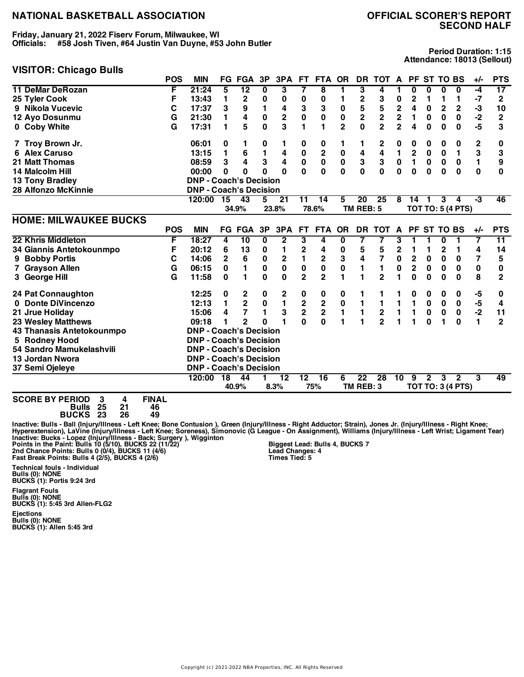**Friday, January 21, 2022 Fiserv Forum, Milwaukee, WI Officials: #58 Josh Tiven, #64 Justin Van Duyne, #53 John Butler**

#### **VISITOR: Chicago Bulls**

**Period Duration: 1:15 Attendance: 18013 (Sellout)**

|                              | <b>POS</b> | <b>MIN</b>                    |              | <b>FG FGA</b>   | 3P             | 3PA            | FT.             | FTA OR                  |                | DR                      | TOT A PF ST TO BS |                         |                         |              |                |                          | $+/-$ | <b>PTS</b>              |
|------------------------------|------------|-------------------------------|--------------|-----------------|----------------|----------------|-----------------|-------------------------|----------------|-------------------------|-------------------|-------------------------|-------------------------|--------------|----------------|--------------------------|-------|-------------------------|
| <b>11 DeMar DeRozan</b>      | F          | 21:24                         | 5            | $\overline{12}$ | 0              | 3              | 7               | 8                       | 1              | 3                       | 4                 |                         | 0                       | 0            | 0              | 0                        | -4    | 17                      |
| 25 Tyler Cook                | F          | 13:43                         | 1            | 2               | 0              | 0              | 0               | 0                       | 1              | $\mathbf 2$             | 3                 | 0                       | 2                       | 1            | 1              | 1                        | $-7$  | 2                       |
| 9 Nikola Vucevic             | C          | 17:37                         | 3            | 9               | 1              | 4              | 3               | 3                       | 0              | 5                       | 5                 | $\overline{\mathbf{c}}$ | 4                       | 0            | $\overline{c}$ | $\mathbf 2$              | -3    | 10                      |
| 12 Ayo Dosunmu               | G          | 21:30                         | 1            | 4               | $\pmb{0}$      | $\mathbf 2$    | $\pmb{0}$       | $\pmb{0}$               | $\bf{0}$       | $\overline{\mathbf{c}}$ | $\mathbf 2$       | 2                       | 1                       | 0            | $\bf{0}$       | $\mathbf 0$              | $-2$  | $\overline{\mathbf{c}}$ |
| 0 Coby White                 | G          | 17:31                         | 1            | 5               | $\mathbf{0}$   | 3              | 1               | 1                       | $\overline{2}$ | 0                       | $\overline{2}$    | $\overline{2}$          | 4                       | 0            | 0              | 0                        | $-5$  | 3                       |
| 7 Troy Brown Jr.             |            | 06:01                         | 0            |                 | 0              | 1              | 0               | $\boldsymbol{0}$        | 1              | 1                       | 2                 | 0                       | 0                       | 0            | 0              | 0                        | 2     | 0                       |
| <b>Alex Caruso</b><br>6      |            | 13:15                         | 1            | 6               | 1              | 4              | $\pmb{0}$       | $\overline{\mathbf{c}}$ | 0              | 4                       | 4                 | 1                       | $\mathbf 2$             | 0            | 0              | $\mathbf{1}$             | 3     | 3                       |
| 21 Matt Thomas               |            | 08:59                         | 3            | 4               | 3              | 4              | $\pmb{0}$       | $\pmb{0}$               | $\pmb{0}$      | 3                       | $\bf 3$           | $\mathbf 0$             | $\mathbf{1}$            | $\mathbf 0$  | $\bf{0}$       | $\mathbf 0$              | 1     | 9                       |
| 14 Malcolm Hill              |            | 00:00                         | $\bf{0}$     | 0               | 0              | $\bf{0}$       | 0               | 0                       | $\bf{0}$       | 0                       | $\bf{0}$          | 0                       | $\mathbf{0}$            | $\bf{0}$     | $\bf{0}$       | $\bf{0}$                 | 0     | 0                       |
| <b>13 Tony Bradley</b>       |            | <b>DNP - Coach's Decision</b> |              |                 |                |                |                 |                         |                |                         |                   |                         |                         |              |                |                          |       |                         |
| <b>28 Alfonzo McKinnie</b>   |            | <b>DNP - Coach's Decision</b> |              |                 |                |                |                 |                         |                |                         |                   |                         |                         |              |                |                          |       |                         |
|                              |            | 120:00                        | 15           | 43              | 5              | 21             | 11              | $\overline{14}$         | 5              | 20                      | 25                | 8                       | 14                      | 1            | 3              | 4                        | $-3$  | 46                      |
|                              |            |                               |              | 34.9%           |                | 23.8%          |                 | 78.6%                   |                | TM REB: 5               |                   |                         |                         |              |                | <b>TOT TO: 5 (4 PTS)</b> |       |                         |
| <b>HOME: MILWAUKEE BUCKS</b> |            |                               |              |                 |                |                |                 |                         |                |                         |                   |                         |                         |              |                |                          |       |                         |
|                              | <b>POS</b> | <b>MIN</b>                    |              | <b>FG FGA</b>   | 3P             | 3PA            | <b>FT</b>       | <b>FTA</b>              | <b>OR</b>      | <b>DR</b>               | <b>TOT</b>        | A                       |                         |              | PF ST TO BS    |                          | $+/-$ | <b>PTS</b>              |
| 22 Khris Middleton           | F          | 18:27                         | 4            | $\overline{10}$ | 0              | 2              | 3               | 4                       | 0              | 7                       | 7                 | 3                       | 1                       | 1            | 0              |                          | 7     | 11                      |
| 34 Giannis Antetokounmpo     | F          | 20:12                         | 6            | 13              | 0              | 1              | 2               | 4                       | 0              | 5                       | 5                 | 2                       | 1                       | 1            | 2              | 1                        | 4     | 14                      |
| 9 Bobby Portis               | C          | 14:06                         | $\mathbf{2}$ | 6               | 0              | $\mathbf 2$    | 1               | $\mathbf 2$             | 3              | 4                       | 7                 | $\pmb{0}$               | $\mathbf 2$             | 0            | 0              | 0                        | 7     | 5                       |
| 7 Grayson Allen              | G          | 06:15                         | 0            | 1               | $\bf{0}$       | $\pmb{0}$      | $\pmb{0}$       | $\pmb{0}$               | 0              | 1                       | $\mathbf{1}$      | $\pmb{0}$               | $\overline{\mathbf{c}}$ | 0            | 0              | 0                        | 0     | 0                       |
| 3 George Hill                | G          | 11:58                         | $\mathbf 0$  | 1               | $\bf{0}$       | 0              | $\overline{2}$  | $\overline{2}$          | 1              |                         | $\overline{2}$    |                         | 0                       | $\bf{0}$     | $\bf{0}$       | $\bf{0}$                 | 8     | $\overline{2}$          |
| 24 Pat Connaughton           |            | 12:25                         | 0            | 2               | 0              | 2              | 0               | 0                       | 0              | 1                       |                   |                         | 0                       | 0            | 0              | 0                        | -5    | 0                       |
| 0 Donte DiVincenzo           |            | 12:13                         | 1            | $\overline{2}$  | $\pmb{0}$      | $\blacksquare$ | $\frac{2}{2}$   | $\boldsymbol{2}$        | $\pmb{0}$      | 1                       | $\mathbf{1}$      | 1                       | 1                       | $\bf{0}$     | $\pmb{0}$      | 0                        | $-5$  | 4                       |
| 21 Jrue Holiday              |            | 15:06                         | 4            | 7               | $\blacksquare$ | 3              |                 | $\overline{\mathbf{2}}$ | $\mathbf{1}$   | 1                       | $\bf 2$           | 1                       | $\blacksquare$          | $\mathbf 0$  | $\mathbf 0$    | $\mathbf 0$              | $-2$  | 11                      |
| <b>23 Wesley Matthews</b>    |            | 09:18                         | 1            | $\overline{2}$  | 0              | 1              | $\mathbf{0}$    | 0                       | 1              | 1                       | $\overline{2}$    | 1                       | 1                       | $\bf{0}$     | 1              | $\bf{0}$                 | 1     | $\overline{2}$          |
| 43 Thanasis Antetokounmpo    |            | <b>DNP - Coach's Decision</b> |              |                 |                |                |                 |                         |                |                         |                   |                         |                         |              |                |                          |       |                         |
| 5 Rodney Hood                |            | <b>DNP - Coach's Decision</b> |              |                 |                |                |                 |                         |                |                         |                   |                         |                         |              |                |                          |       |                         |
| 54 Sandro Mamukelashvili     |            | <b>DNP - Coach's Decision</b> |              |                 |                |                |                 |                         |                |                         |                   |                         |                         |              |                |                          |       |                         |
| 13 Jordan Nwora              |            | <b>DNP - Coach's Decision</b> |              |                 |                |                |                 |                         |                |                         |                   |                         |                         |              |                |                          |       |                         |
| 37 Semi Ojeleye              |            | <b>DNP - Coach's Decision</b> |              |                 |                |                |                 |                         |                |                         |                   |                         |                         |              |                |                          |       |                         |
|                              |            | 120:00                        | 18           | 44              |                | 12             | $\overline{12}$ | $\overline{16}$         | 6              | $\overline{22}$         | $\overline{28}$   | 10                      | 9                       | $\mathbf{2}$ | 3              | $\mathbf{2}$             | 3     | 49                      |
|                              |            |                               |              | 40.9%           |                | 8.3%           |                 | 75%                     |                | TM REB: 3               |                   |                         |                         |              |                | <b>TOT TO: 3 (4 PTS)</b> |       |                         |

**SCORE BY PERIOD 3 4 FINAL Bulls 25 21 46 BUCKS 23 26 49**

lnactive: Bulls - Ball (Injury/Illness - Left Knee; Bone Contusion ), Green (Injury/Illness - Right Adductor; Strain), Jones Jr. (Injury/Illness - Right Knee;<br>Hyperextension), LaVine (Injury/Illness - Left Knee; Soreness), **Biggest Lead: Bulls 4, BUCKS 7 Lead Changes: 4 Times Tied: 5**

**Technical fouls - Individual Bulls (0): NONE BUCKS (1): Portis 9:24 3rd**

**Flagrant Fouls Bulls (0): NONE BUCKS (1): 5:45 3rd Allen-FLG2**

**Ejections Bulls (0): NONE BUCKS (1): Allen 5:45 3rd**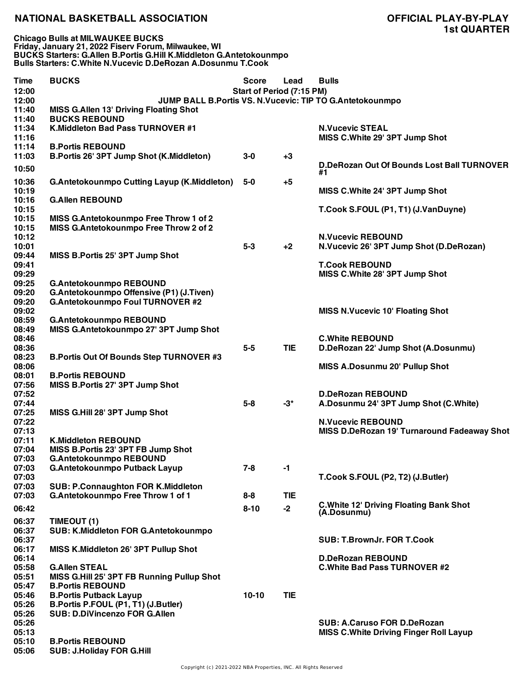**Chicago Bulls at MILWAUKEE BUCKS Friday, January 21, 2022 Fiserv Forum, Milwaukee, WI BUCKS Starters: G.Allen B.Portis G.Hill K.Middleton G.Antetokounmpo Bulls Starters: C.White N.Vucevic D.DeRozan A.Dosunmu T.Cook**

| Time  | <b>BUCKS</b>                                       | <b>Score</b>              | Lead       | <b>Bulls</b>                                             |
|-------|----------------------------------------------------|---------------------------|------------|----------------------------------------------------------|
| 12:00 |                                                    | Start of Period (7:15 PM) |            |                                                          |
| 12:00 |                                                    |                           |            | JUMP BALL B.Portis VS. N.Vucevic: TIP TO G.Antetokounmpo |
| 11:40 | <b>MISS G.Allen 13' Driving Floating Shot</b>      |                           |            |                                                          |
| 11:40 | <b>BUCKS REBOUND</b>                               |                           |            |                                                          |
| 11:34 | K.Middleton Bad Pass TURNOVER #1                   |                           |            | <b>N.Vucevic STEAL</b>                                   |
| 11:16 |                                                    |                           |            | MISS C.White 29' 3PT Jump Shot                           |
| 11:14 | <b>B.Portis REBOUND</b>                            |                           |            |                                                          |
| 11:03 | B.Portis 26' 3PT Jump Shot (K.Middleton)           | $3-0$                     | $+3$       |                                                          |
| 10:50 |                                                    |                           |            | D.DeRozan Out Of Bounds Lost Ball TURNOVER               |
|       |                                                    |                           |            | #1                                                       |
| 10:36 | <b>G.Antetokounmpo Cutting Layup (K.Middleton)</b> | $5-0$                     | $+5$       |                                                          |
| 10:19 |                                                    |                           |            | MISS C.White 24' 3PT Jump Shot                           |
| 10:16 | <b>G.Allen REBOUND</b>                             |                           |            |                                                          |
| 10:15 |                                                    |                           |            | T.Cook S.FOUL (P1, T1) (J.VanDuyne)                      |
| 10:15 | MISS G.Antetokounmpo Free Throw 1 of 2             |                           |            |                                                          |
| 10:15 | MISS G.Antetokounmpo Free Throw 2 of 2             |                           |            |                                                          |
| 10:12 |                                                    |                           |            | <b>N.Vucevic REBOUND</b>                                 |
| 10:01 |                                                    |                           |            |                                                          |
|       |                                                    | $5-3$                     | $+2$       | N.Vucevic 26' 3PT Jump Shot (D.DeRozan)                  |
| 09:44 | MISS B.Portis 25' 3PT Jump Shot                    |                           |            |                                                          |
| 09:41 |                                                    |                           |            | <b>T.Cook REBOUND</b>                                    |
| 09:29 |                                                    |                           |            | MISS C.White 28' 3PT Jump Shot                           |
| 09:25 | <b>G.Antetokounmpo REBOUND</b>                     |                           |            |                                                          |
| 09:20 | G.Antetokounmpo Offensive (P1) (J.Tiven)           |                           |            |                                                          |
| 09:20 | <b>G.Antetokounmpo Foul TURNOVER #2</b>            |                           |            |                                                          |
| 09:02 |                                                    |                           |            | <b>MISS N.Vucevic 10' Floating Shot</b>                  |
| 08:59 | <b>G.Antetokounmpo REBOUND</b>                     |                           |            |                                                          |
| 08:49 | MISS G.Antetokounmpo 27' 3PT Jump Shot             |                           |            |                                                          |
| 08:46 |                                                    |                           |            | <b>C.White REBOUND</b>                                   |
| 08:36 |                                                    | $5-5$                     | <b>TIE</b> | D.DeRozan 22' Jump Shot (A.Dosunmu)                      |
| 08:23 | <b>B.Portis Out Of Bounds Step TURNOVER #3</b>     |                           |            |                                                          |
| 08:06 |                                                    |                           |            | <b>MISS A.Dosunmu 20' Pullup Shot</b>                    |
| 08:01 | <b>B.Portis REBOUND</b>                            |                           |            |                                                          |
|       |                                                    |                           |            |                                                          |
| 07:56 | MISS B.Portis 27' 3PT Jump Shot                    |                           |            |                                                          |
| 07:52 |                                                    |                           |            | <b>D.DeRozan REBOUND</b>                                 |
| 07:44 |                                                    | $5-8$                     | $-3^*$     | A.Dosunmu 24' 3PT Jump Shot (C.White)                    |
| 07:25 | MISS G.Hill 28' 3PT Jump Shot                      |                           |            |                                                          |
| 07:22 |                                                    |                           |            | <b>N.Vucevic REBOUND</b>                                 |
| 07:13 |                                                    |                           |            | MISS D.DeRozan 19' Turnaround Fadeaway Shot              |
| 07:11 | <b>K.Middleton REBOUND</b>                         |                           |            |                                                          |
| 07:04 | MISS B.Portis 23' 3PT FB Jump Shot                 |                           |            |                                                          |
| 07:03 | G.Antetokounmpo REBOUND                            |                           |            |                                                          |
| 07:03 | G.Antetokounmpo Putback Layup                      | $7 - 8$                   | $-1$       |                                                          |
| 07:03 |                                                    |                           |            | T.Cook S.FOUL (P2, T2) (J.Butler)                        |
| 07:03 | <b>SUB: P.Connaughton FOR K.Middleton</b>          |                           |            |                                                          |
| 07:03 | G.Antetokounmpo Free Throw 1 of 1                  | 8-8                       | <b>TIE</b> |                                                          |
|       |                                                    |                           |            | <b>C.White 12' Driving Floating Bank Shot</b>            |
| 06:42 |                                                    | $8 - 10$                  | $-2$       | (A.Dosunmu)                                              |
| 06:37 | TIMEOUT (1)                                        |                           |            |                                                          |
| 06:37 | SUB: K.Middleton FOR G.Antetokounmpo               |                           |            |                                                          |
| 06:37 |                                                    |                           |            | <b>SUB: T.BrownJr. FOR T.Cook</b>                        |
| 06:17 | MISS K.Middleton 26' 3PT Pullup Shot               |                           |            |                                                          |
| 06:14 |                                                    |                           |            | <b>D.DeRozan REBOUND</b>                                 |
|       |                                                    |                           |            |                                                          |
| 05:58 | <b>G.Allen STEAL</b>                               |                           |            | <b>C. White Bad Pass TURNOVER #2</b>                     |
| 05:51 | MISS G.Hill 25' 3PT FB Running Pullup Shot         |                           |            |                                                          |
| 05:47 | <b>B.Portis REBOUND</b>                            |                           |            |                                                          |
| 05:46 | <b>B.Portis Putback Layup</b>                      | $10 - 10$                 | <b>TIE</b> |                                                          |
| 05:26 | B.Portis P.FOUL (P1, T1) (J.Butler)                |                           |            |                                                          |
| 05:26 | <b>SUB: D.DiVincenzo FOR G.Allen</b>               |                           |            |                                                          |
| 05:26 |                                                    |                           |            | <b>SUB: A.Caruso FOR D.DeRozan</b>                       |
| 05:13 |                                                    |                           |            | <b>MISS C. White Driving Finger Roll Layup</b>           |
| 05:10 | <b>B.Portis REBOUND</b>                            |                           |            |                                                          |
| 05:06 | <b>SUB: J.Holiday FOR G.Hill</b>                   |                           |            |                                                          |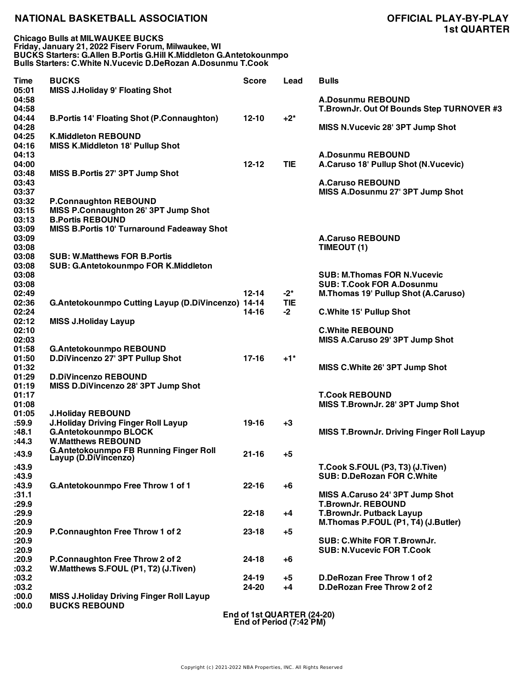| <b>Time</b><br>05:01    | <b>BUCKS</b><br><b>MISS J.Holiday 9' Floating Shot</b>                            | <b>Score</b> | Lead               | <b>Bulls</b>                                                           |
|-------------------------|-----------------------------------------------------------------------------------|--------------|--------------------|------------------------------------------------------------------------|
| 04:58<br>04:58          |                                                                                   |              |                    | <b>A.Dosunmu REBOUND</b><br>T.BrownJr. Out Of Bounds Step TURNOVER #3  |
| 04:44<br>04:28          | <b>B.Portis 14' Floating Shot (P.Connaughton)</b>                                 | $12 - 10$    | $+2^*$             | MISS N.Vucevic 28' 3PT Jump Shot                                       |
| 04:25<br>04:16          | <b>K.Middleton REBOUND</b><br><b>MISS K.Middleton 18' Pullup Shot</b>             |              |                    |                                                                        |
| 04:13<br>04:00          |                                                                                   | $12 - 12$    | <b>TIE</b>         | <b>A.Dosunmu REBOUND</b><br>A.Caruso 18' Pullup Shot (N.Vucevic)       |
| 03:48<br>03:43<br>03:37 | MISS B.Portis 27' 3PT Jump Shot                                                   |              |                    | <b>A.Caruso REBOUND</b><br>MISS A.Dosunmu 27' 3PT Jump Shot            |
| 03:32                   | <b>P.Connaughton REBOUND</b>                                                      |              |                    |                                                                        |
| 03:15<br>03:13          | MISS P.Connaughton 26' 3PT Jump Shot<br><b>B.Portis REBOUND</b>                   |              |                    |                                                                        |
| 03:09                   | MISS B.Portis 10' Turnaround Fadeaway Shot                                        |              |                    |                                                                        |
| 03:09<br>03:08          |                                                                                   |              |                    | <b>A.Caruso REBOUND</b><br>TIMEOUT (1)                                 |
| 03:08<br>03:08          | <b>SUB: W.Matthews FOR B.Portis</b><br>SUB: G.Antetokounmpo FOR K.Middleton       |              |                    |                                                                        |
| 03:08<br>03:08          |                                                                                   |              |                    | <b>SUB: M.Thomas FOR N.Vucevic</b><br><b>SUB: T.Cook FOR A.Dosunmu</b> |
| 02:49                   |                                                                                   | $12 - 14$    | $-2^*$             | <b>M.Thomas 19' Pullup Shot (A.Caruso)</b>                             |
| 02:36<br>02:24<br>02:12 | G.Antetokounmpo Cutting Layup (D.DiVincenzo) 14-14<br><b>MISS J.Holiday Layup</b> | 14-16        | <b>TIE</b><br>$-2$ | C. White 15' Pullup Shot                                               |
|                         |                                                                                   |              |                    |                                                                        |
| 02:10                   |                                                                                   |              |                    | <b>C.White REBOUND</b>                                                 |
| 02:03                   |                                                                                   |              |                    | MISS A.Caruso 29' 3PT Jump Shot                                        |
| 01:58                   | <b>G.Antetokounmpo REBOUND</b>                                                    |              |                    |                                                                        |
| 01:50                   | D.DiVincenzo 27' 3PT Pullup Shot                                                  | $17 - 16$    | $+1"$              |                                                                        |
| 01:32                   |                                                                                   |              |                    | MISS C.White 26' 3PT Jump Shot                                         |
| 01:29                   | <b>D.DiVincenzo REBOUND</b>                                                       |              |                    |                                                                        |
| 01:19                   | MISS D.DiVincenzo 28' 3PT Jump Shot                                               |              |                    |                                                                        |
| 01:17                   |                                                                                   |              |                    | <b>T.Cook REBOUND</b>                                                  |
| 01:08                   |                                                                                   |              |                    | MISS T.BrownJr. 28' 3PT Jump Shot                                      |
| 01:05                   | <b>J.Holiday REBOUND</b>                                                          |              |                    |                                                                        |
| :59.9                   | <b>J.Holiday Driving Finger Roll Layup</b>                                        | 19-16        | $+3$               |                                                                        |
| :48.1                   | <b>G.Antetokounmpo BLOCK</b>                                                      |              |                    | <b>MISS T.BrownJr. Driving Finger Roll Layup</b>                       |
| :44.3                   | <b>W.Matthews REBOUND</b>                                                         |              |                    |                                                                        |
| :43.9<br>:43.9          | <b>G.Antetokounmpo FB Running Finger Roll</b><br>Layup (D.DIVIncenzo)             | $21 - 16$    | $+5$               | T.Cook S.FOUL (P3, T3) (J.Tiven)                                       |
| :43.9                   |                                                                                   |              |                    | <b>SUB: D.DeRozan FOR C.White</b>                                      |
|                         |                                                                                   | $22 - 16$    |                    |                                                                        |
| :43.9<br>:31.1          | G.Antetokounmpo Free Throw 1 of 1                                                 |              | +6                 | MISS A.Caruso 24' 3PT Jump Shot                                        |
| :29.9                   |                                                                                   |              |                    | <b>T.BrownJr. REBOUND</b>                                              |
|                         |                                                                                   |              |                    |                                                                        |
| :29.9                   |                                                                                   | $22 - 18$    | $+4$               | <b>T.BrownJr. Putback Layup</b>                                        |
| :20.9                   |                                                                                   |              |                    | M.Thomas P.FOUL (P1, T4) (J.Butler)                                    |
| :20.9                   | P.Connaughton Free Throw 1 of 2                                                   | $23 - 18$    | $+5$               | SUB: C.White FOR T.BrownJr.                                            |
| :20.9                   |                                                                                   |              |                    |                                                                        |
| :20.9                   |                                                                                   |              |                    | <b>SUB: N.Vucevic FOR T.Cook</b>                                       |
| :20.9                   | P.Connaughton Free Throw 2 of 2                                                   | $24 - 18$    | $+6$               |                                                                        |
| :03.2                   | W.Matthews S.FOUL (P1, T2) (J.Tiven)                                              |              |                    |                                                                        |
| :03.2                   |                                                                                   | $24 - 19$    | $+5$               | D.DeRozan Free Throw 1 of 2                                            |
| :03.2                   |                                                                                   | 24-20        | $+4$               | D.DeRozan Free Throw 2 of 2                                            |
| :00.0<br>:00.0          | <b>MISS J.Holiday Driving Finger Roll Layup</b><br><b>BUCKS REBOUND</b>           |              |                    |                                                                        |

**End of 1st QUARTER (24-20) End of Period (7:42 PM)**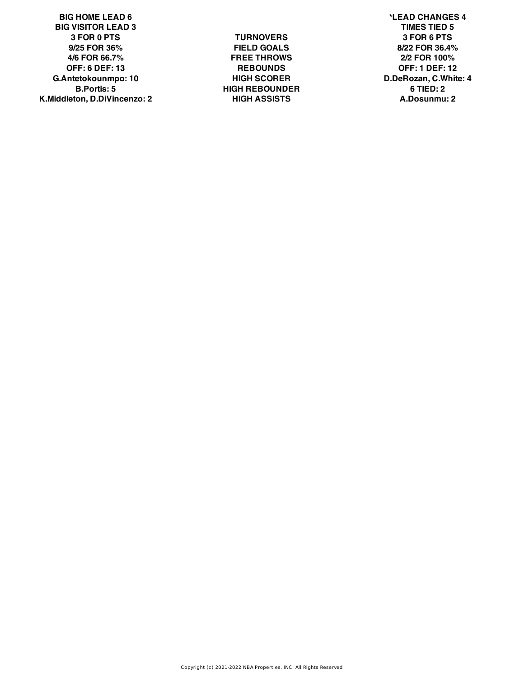**BIG HOME LEAD 6 \*LEAD CHANGES 4 BIG VISITOR LEAD 3 TIMES TIED 5 3 FOR 0 PTS TURNOVERS 3 FOR 6 PTS 9/25 FOR 36% FIELD GOALS 8/22 FOR 36.4% 4/6 FOR 66.7% FREE THROWS 2/2 FOR 100% OFF: 6 DEF: 13 REBOUNDS OFF: 1 DEF: 12 G.Antetokounmpo: 10 HIGH SCORER D.DeRozan, C.White: 4 B.Portis: 5 HIGH REBOUNDER 6 TIED: 2 K.Middleton, D.DiVincenzo: 2 HIGH ASSISTS A.Dosunmu: 2**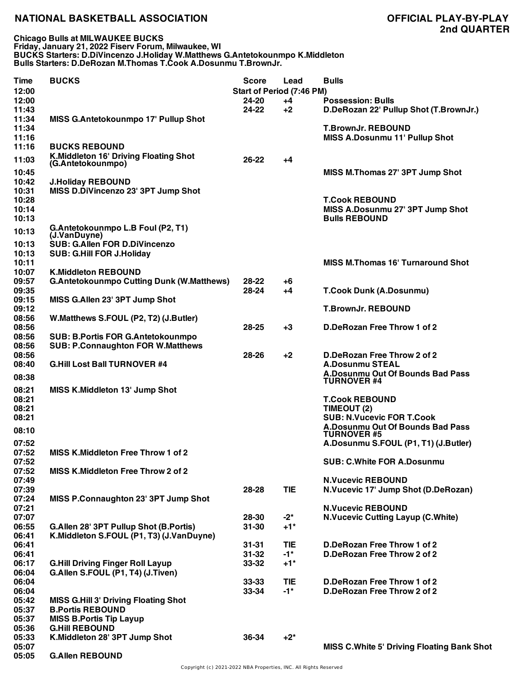**Chicago Bulls at MILWAUKEE BUCKS Friday, January 21, 2022 Fiserv Forum, Milwaukee, WI BUCKS Starters: D.DiVincenzo J.Holiday W.Matthews G.Antetokounmpo K.Middleton Bulls Starters: D.DeRozan M.Thomas T.Cook A.Dosunmu T.BrownJr.**

| <b>Time</b>    | <b>BUCKS</b>                                               | <b>Score</b>                     | Lead              | <b>Bulls</b>                                       |
|----------------|------------------------------------------------------------|----------------------------------|-------------------|----------------------------------------------------|
| 12:00          |                                                            | <b>Start of Period (7:46 PM)</b> |                   |                                                    |
| 12:00          |                                                            | 24-20                            | $+4$              | <b>Possession: Bulls</b>                           |
| 11:43          |                                                            | $24 - 22$                        | $+2$              | D.DeRozan 22' Pullup Shot (T.BrownJr.)             |
| 11:34          | MISS G.Antetokounmpo 17' Pullup Shot                       |                                  |                   |                                                    |
| 11:34          |                                                            |                                  |                   | <b>T.BrownJr. REBOUND</b>                          |
| 11:16          |                                                            |                                  |                   | <b>MISS A.Dosunmu 11' Pullup Shot</b>              |
| 11:16          | <b>BUCKS REBOUND</b>                                       |                                  |                   |                                                    |
| 11:03          | K.Middleton 16' Driving Floating Shot<br>(G.Antetokounmpo) | $26 - 22$                        | +4                |                                                    |
| 10:45          |                                                            |                                  |                   | MISS M.Thomas 27' 3PT Jump Shot                    |
| 10:42          | <b>J.Holiday REBOUND</b>                                   |                                  |                   |                                                    |
| 10:31          | MISS D.DiVincenzo 23' 3PT Jump Shot                        |                                  |                   |                                                    |
| 10:28          |                                                            |                                  |                   | <b>T.Cook REBOUND</b>                              |
| 10:14          |                                                            |                                  |                   | MISS A.Dosunmu 27' 3PT Jump Shot                   |
| 10:13          |                                                            |                                  |                   | <b>Bulls REBOUND</b>                               |
| 10:13          | G.Antetokounmpo L.B Foul (P2, T1)                          |                                  |                   |                                                    |
|                | (J.VanDuyne)                                               |                                  |                   |                                                    |
| 10:13          | <b>SUB: G.Allen FOR D.DiVincenzo</b>                       |                                  |                   |                                                    |
| 10:13          | <b>SUB: G.Hill FOR J.Holiday</b>                           |                                  |                   |                                                    |
| 10:11          |                                                            |                                  |                   | <b>MISS M.Thomas 16' Turnaround Shot</b>           |
| 10:07          | <b>K.Middleton REBOUND</b>                                 |                                  |                   |                                                    |
| 09:57          | <b>G.Antetokounmpo Cutting Dunk (W.Matthews)</b>           | 28-22                            | +6                |                                                    |
| 09:35          |                                                            | 28-24                            | $+4$              | <b>T.Cook Dunk (A.Dosunmu)</b>                     |
| 09:15          | MISS G.Allen 23' 3PT Jump Shot                             |                                  |                   |                                                    |
| 09:12          |                                                            |                                  |                   | <b>T.BrownJr. REBOUND</b>                          |
| 08:56<br>08:56 | W.Matthews S.FOUL (P2, T2) (J.Butler)                      | 28-25                            | $+3$              | D.DeRozan Free Throw 1 of 2                        |
| 08:56          | <b>SUB: B.Portis FOR G.Antetokounmpo</b>                   |                                  |                   |                                                    |
| 08:56          | <b>SUB: P.Connaughton FOR W.Matthews</b>                   |                                  |                   |                                                    |
| 08:56          |                                                            | 28-26                            | $+2$              | D.DeRozan Free Throw 2 of 2                        |
| 08:40          | <b>G.Hill Lost Ball TURNOVER #4</b>                        |                                  |                   | <b>A.Dosunmu STEAL</b>                             |
|                |                                                            |                                  |                   | A.Dosunmu Out Of Bounds Bad Pass                   |
| 08:38          |                                                            |                                  |                   | <b>TURNOVER #4</b>                                 |
| 08:21          | <b>MISS K.Middleton 13' Jump Shot</b>                      |                                  |                   |                                                    |
| 08:21          |                                                            |                                  |                   | <b>T.Cook REBOUND</b>                              |
| 08:21          |                                                            |                                  |                   | TIMEOUT (2)                                        |
| 08:21          |                                                            |                                  |                   | <b>SUB: N.Vucevic FOR T.Cook</b>                   |
| 08:10          |                                                            |                                  |                   | A.Dosunmu Out Of Bounds Bad Pass                   |
|                |                                                            |                                  |                   | <b>TURNOVER #5</b>                                 |
| 07:52<br>07:52 | MISS K.Middleton Free Throw 1 of 2                         |                                  |                   | A.Dosunmu S.FOUL (P1, T1) (J.Butler)               |
| 07:52          |                                                            |                                  |                   | <b>SUB: C.White FOR A.Dosunmu</b>                  |
| 07:52          | MISS K.Middleton Free Throw 2 of 2                         |                                  |                   |                                                    |
| 07:49          |                                                            |                                  |                   | <b>N.Vucevic REBOUND</b>                           |
| 07:39          |                                                            | 28-28                            | <b>TIE</b>        | N.Vucevic 17' Jump Shot (D.DeRozan)                |
| 07:24          | MISS P.Connaughton 23' 3PT Jump Shot                       |                                  |                   |                                                    |
| 07:21          |                                                            |                                  |                   | <b>N.Vucevic REBOUND</b>                           |
| 07:07          |                                                            | 28-30                            | $-2^{*}$          | <b>N.Vucevic Cutting Layup (C.White)</b>           |
| 06:55          | G.Allen 28' 3PT Pullup Shot (B.Portis)                     | $31 - 30$                        | $+1$ <sup>*</sup> |                                                    |
| 06:41          | K.Middleton S.FOUL (P1, T3) (J.VanDuyne)                   |                                  |                   |                                                    |
| 06:41          |                                                            | $31 - 31$                        | <b>TIE</b>        | D.DeRozan Free Throw 1 of 2                        |
| 06:41          |                                                            | $31 - 32$                        | $-1$ *            | D.DeRozan Free Throw 2 of 2                        |
| 06:17          | <b>G.Hill Driving Finger Roll Layup</b>                    | $33 - 32$                        | $+1$ <sup>*</sup> |                                                    |
| 06:04          | G.Allen S.FOUL (P1, T4) (J.Tiven)                          |                                  |                   |                                                    |
| 06:04          |                                                            | $33 - 33$                        | <b>TIE</b>        | D.DeRozan Free Throw 1 of 2                        |
| 06:04          |                                                            | 33-34                            | $-1$ *            | D.DeRozan Free Throw 2 of 2                        |
| 05:42          | <b>MISS G.Hill 3' Driving Floating Shot</b>                |                                  |                   |                                                    |
| 05:37          | <b>B.Portis REBOUND</b>                                    |                                  |                   |                                                    |
| 05:37          | <b>MISS B.Portis Tip Layup</b>                             |                                  |                   |                                                    |
| 05:36          | <b>G.Hill REBOUND</b>                                      |                                  |                   |                                                    |
| 05:33          | K.Middleton 28' 3PT Jump Shot                              | 36-34                            | $+2^*$            |                                                    |
| 05:07          |                                                            |                                  |                   | <b>MISS C. White 5' Driving Floating Bank Shot</b> |
| 05:05          | <b>G.Allen REBOUND</b>                                     |                                  |                   |                                                    |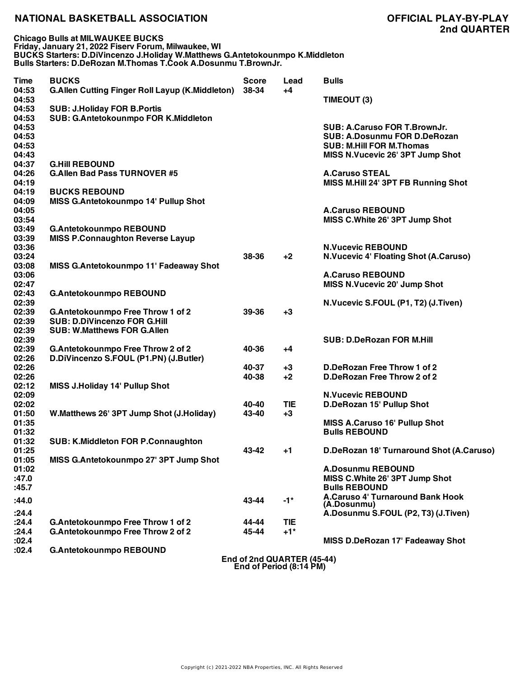**Chicago Bulls at MILWAUKEE BUCKS Friday, January 21, 2022 Fiserv Forum, Milwaukee, WI BUCKS Starters: D.DiVincenzo J.Holiday W.Matthews G.Antetokounmpo K.Middleton Bulls Starters: D.DeRozan M.Thomas T.Cook A.Dosunmu T.BrownJr.**

| Time                                      | <b>BUCKS</b>                                                           | <b>Score</b>   | Lead                       | <b>Bulls</b>                                                                                                                               |
|-------------------------------------------|------------------------------------------------------------------------|----------------|----------------------------|--------------------------------------------------------------------------------------------------------------------------------------------|
| 04:53<br>04:53                            | <b>G.Allen Cutting Finger Roll Layup (K.Middleton)</b>                 | 38-34          | $+4$                       | TIMEOUT (3)                                                                                                                                |
| 04:53                                     | <b>SUB: J.Holiday FOR B.Portis</b>                                     |                |                            |                                                                                                                                            |
| 04:53<br>04:53<br>04:53<br>04:53<br>04:43 | SUB: G.Antetokounmpo FOR K.Middleton                                   |                |                            | SUB: A.Caruso FOR T.BrownJr.<br><b>SUB: A.Dosunmu FOR D.DeRozan</b><br><b>SUB: M.Hill FOR M.Thomas</b><br>MISS N.Vucevic 26' 3PT Jump Shot |
| 04:37                                     | <b>G.Hill REBOUND</b>                                                  |                |                            |                                                                                                                                            |
| 04:26<br>04:19                            | <b>G.Allen Bad Pass TURNOVER #5</b>                                    |                |                            | <b>A.Caruso STEAL</b><br>MISS M.Hill 24' 3PT FB Running Shot                                                                               |
| 04:19                                     | <b>BUCKS REBOUND</b>                                                   |                |                            |                                                                                                                                            |
| 04:09<br>04:05<br>03:54                   | MISS G.Antetokounmpo 14' Pullup Shot                                   |                |                            | <b>A.Caruso REBOUND</b><br>MISS C.White 26' 3PT Jump Shot                                                                                  |
| 03:49                                     | <b>G.Antetokounmpo REBOUND</b>                                         |                |                            |                                                                                                                                            |
| 03:39<br>03:36                            | <b>MISS P.Connaughton Reverse Layup</b>                                |                |                            | <b>N.Vucevic REBOUND</b>                                                                                                                   |
| 03:24<br>03:08                            | MISS G.Antetokounmpo 11' Fadeaway Shot                                 | 38-36          | $+2$                       | <b>N.Vucevic 4' Floating Shot (A.Caruso)</b>                                                                                               |
| 03:06                                     |                                                                        |                |                            | <b>A.Caruso REBOUND</b>                                                                                                                    |
| 02:47                                     |                                                                        |                |                            | <b>MISS N.Vucevic 20' Jump Shot</b>                                                                                                        |
| 02:43                                     | <b>G.Antetokounmpo REBOUND</b>                                         |                |                            |                                                                                                                                            |
| 02:39<br>02:39                            | G.Antetokounmpo Free Throw 1 of 2                                      | 39-36          | $+3$                       | N.Vucevic S.FOUL (P1, T2) (J.Tiven)                                                                                                        |
| 02:39                                     | <b>SUB: D.DiVincenzo FOR G.Hill</b>                                    |                |                            |                                                                                                                                            |
| 02:39<br>02:39                            | <b>SUB: W.Matthews FOR G.Allen</b>                                     |                |                            | <b>SUB: D.DeRozan FOR M.Hill</b>                                                                                                           |
| 02:39                                     | G.Antetokounmpo Free Throw 2 of 2                                      | 40-36          | +4                         |                                                                                                                                            |
| 02:26                                     | D.DiVincenzo S.FOUL (P1.PN) (J.Butler)                                 |                |                            |                                                                                                                                            |
| 02:26                                     |                                                                        | 40-37          | $+3$                       | D.DeRozan Free Throw 1 of 2                                                                                                                |
| 02:26                                     |                                                                        | 40-38          | $+2$                       | D.DeRozan Free Throw 2 of 2                                                                                                                |
| 02:12<br>02:09                            | <b>MISS J.Holiday 14' Pullup Shot</b>                                  |                |                            | <b>N.Vucevic REBOUND</b>                                                                                                                   |
| 02:02                                     |                                                                        | 40-40          | <b>TIE</b>                 | D.DeRozan 15' Pullup Shot                                                                                                                  |
| 01:50                                     | W.Matthews 26' 3PT Jump Shot (J.Holiday)                               | 43-40          | $+3$                       |                                                                                                                                            |
| 01:35<br>01:32                            |                                                                        |                |                            | <b>MISS A.Caruso 16' Pullup Shot</b><br><b>Bulls REBOUND</b>                                                                               |
| 01:32                                     | <b>SUB: K.Middleton FOR P.Connaughton</b>                              |                |                            |                                                                                                                                            |
| 01:25<br>01:05                            | MISS G.Antetokounmpo 27' 3PT Jump Shot                                 | 43-42          | +1                         | D.DeRozan 18' Turnaround Shot (A.Caruso)                                                                                                   |
| 01:02                                     |                                                                        |                |                            | <b>A.Dosunmu REBOUND</b>                                                                                                                   |
| :47.0<br>:45.7                            |                                                                        |                |                            | MISS C.White 26' 3PT Jump Shot<br><b>Bulls REBOUND</b>                                                                                     |
| :44.0                                     |                                                                        | 43-44          | $-1*$                      | A.Caruso 4' Turnaround Bank Hook<br>(A.Dosunmu)                                                                                            |
| :24.4                                     |                                                                        |                |                            | A.Dosunmu S.FOUL (P2, T3) (J.Tiven)                                                                                                        |
| :24.4<br>:24.4                            | G.Antetokounmpo Free Throw 1 of 2<br>G.Antetokounmpo Free Throw 2 of 2 | 44-44<br>45-44 | <b>TIE</b><br>$+1*$        |                                                                                                                                            |
| :02.4                                     |                                                                        |                |                            | MISS D.DeRozan 17' Fadeaway Shot                                                                                                           |
| :02.4                                     | <b>G.Antetokounmpo REBOUND</b>                                         |                |                            |                                                                                                                                            |
|                                           |                                                                        |                | End of 2nd QUARTER (45-44) |                                                                                                                                            |

**End of 2nd QUARTER (45-44) End of Period (8:14 PM)**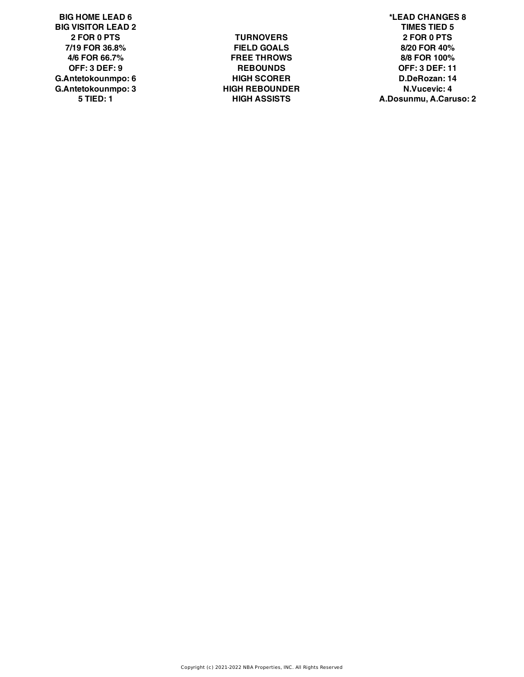**BIG VISITOR LEAD 2 TIMES TIED 5 G.Antetokounmpo: 6 HIGH SCORER D.DeRozan: 14 G.Antetokounmpo: 3 HIGH REBOUNDER N.Vucevic: 4**

**2 FOR 0 PTS TURNOVERS 2 FOR 0 PTS 7/19 FOR 36.8% FIELD GOALS 8/20 FOR 40% 4/6 FOR 66.7% FREE THROWS 8/8 FOR 100% OFF: 3 DEF: 9 REBOUNDS OFF: 3 DEF: 11**

**BIG HOME LEAD 6 \*LEAD CHANGES 8 5 TIED: 1 HIGH ASSISTS A.Dosunmu, A.Caruso: 2**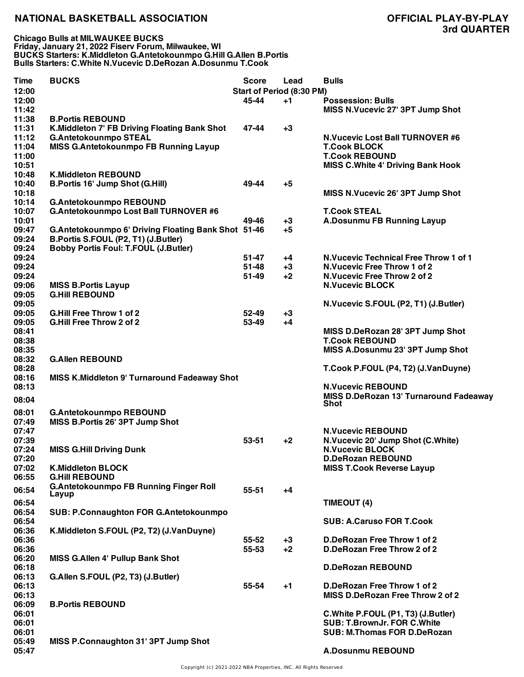**Chicago Bulls at MILWAUKEE BUCKS Friday, January 21, 2022 Fiserv Forum, Milwaukee, WI BUCKS Starters: K.Middleton G.Antetokounmpo G.Hill G.Allen B.Portis Bulls Starters: C.White N.Vucevic D.DeRozan A.Dosunmu T.Cook**

| <b>Time</b>    | <b>BUCKS</b>                                        | <b>Score</b>              | Lead | <b>Bulls</b>                                   |
|----------------|-----------------------------------------------------|---------------------------|------|------------------------------------------------|
| 12:00          |                                                     | Start of Period (8:30 PM) |      |                                                |
| 12:00          |                                                     | 45-44                     | $+1$ | <b>Possession: Bulls</b>                       |
| 11:42          |                                                     |                           |      | MISS N.Vucevic 27' 3PT Jump Shot               |
| 11:38          | <b>B.Portis REBOUND</b>                             |                           |      |                                                |
| 11:31          | K.Middleton 7' FB Driving Floating Bank Shot        | 47-44                     | $+3$ |                                                |
| 11:12          | <b>G.Antetokounmpo STEAL</b>                        |                           |      | <b>N. Vucevic Lost Ball TURNOVER #6</b>        |
| 11:04          | <b>MISS G.Antetokounmpo FB Running Layup</b>        |                           |      | <b>T.Cook BLOCK</b>                            |
| 11:00          |                                                     |                           |      | <b>T.Cook REBOUND</b>                          |
| 10:51          |                                                     |                           |      | <b>MISS C. White 4' Driving Bank Hook</b>      |
| 10:48          | <b>K.Middleton REBOUND</b>                          |                           |      |                                                |
| 10:40          | <b>B.Portis 16' Jump Shot (G.Hill)</b>              | 49-44                     | $+5$ |                                                |
| 10:18          |                                                     |                           |      | MISS N.Vucevic 26' 3PT Jump Shot               |
| 10:14          | <b>G.Antetokounmpo REBOUND</b>                      |                           |      |                                                |
| 10:07          | G.Antetokounmpo Lost Ball TURNOVER #6               |                           |      | <b>T.Cook STEAL</b>                            |
| 10:01          |                                                     | 49-46                     | $+3$ | <b>A.Dosunmu FB Running Layup</b>              |
| 09:47          | G.Antetokounmpo 6' Driving Floating Bank Shot 51-46 |                           | $+5$ |                                                |
| 09:24          | B.Portis S.FOUL (P2, T1) (J.Butler)                 |                           |      |                                                |
| 09:24          | <b>Bobby Portis Foul: T.FOUL (J.Butler)</b>         |                           |      |                                                |
| 09:24          |                                                     | 51-47                     | $+4$ | <b>N.Vucevic Technical Free Throw 1 of 1</b>   |
| 09:24          |                                                     | $51 - 48$                 | $+3$ | N. Vucevic Free Throw 1 of 2                   |
| 09:24          |                                                     | $51 - 49$                 | $+2$ | N.Vucevic Free Throw 2 of 2                    |
| 09:06          | <b>MISS B.Portis Layup</b>                          |                           |      | <b>N.Vucevic BLOCK</b>                         |
| 09:05          | <b>G.Hill REBOUND</b>                               |                           |      |                                                |
| 09:05          |                                                     |                           |      | N.Vucevic S.FOUL (P2, T1) (J.Butler)           |
| 09:05          | <b>G.Hill Free Throw 1 of 2</b>                     | $52 - 49$                 | $+3$ |                                                |
| 09:05          | <b>G.Hill Free Throw 2 of 2</b>                     | 53-49                     | $+4$ |                                                |
| 08:41          |                                                     |                           |      | MISS D.DeRozan 28' 3PT Jump Shot               |
| 08:38          |                                                     |                           |      | <b>T.Cook REBOUND</b>                          |
| 08:35          |                                                     |                           |      | MISS A.Dosunmu 23' 3PT Jump Shot               |
| 08:32          | <b>G.Allen REBOUND</b>                              |                           |      |                                                |
| 08:28          |                                                     |                           |      | T.Cook P.FOUL (P4, T2) (J.VanDuyne)            |
| 08:16<br>08:13 | <b>MISS K.Middleton 9' Turnaround Fadeaway Shot</b> |                           |      | <b>N.Vucevic REBOUND</b>                       |
|                |                                                     |                           |      |                                                |
| 08:04          |                                                     |                           |      | MISS D.DeRozan 13' Turnaround Fadeaway<br>Shot |
| 08:01          | <b>G.Antetokounmpo REBOUND</b>                      |                           |      |                                                |
| 07:49          | MISS B.Portis 26' 3PT Jump Shot                     |                           |      |                                                |
| 07:47          |                                                     |                           |      | <b>N.Vucevic REBOUND</b>                       |
| 07:39          |                                                     | 53-51                     | $+2$ | N.Vucevic 20' Jump Shot (C.White)              |
| 07:24          | <b>MISS G.Hill Driving Dunk</b>                     |                           |      | <b>N.Vucevic BLOCK</b>                         |
| 07:20          |                                                     |                           |      | <b>D.DeRozan REBOUND</b>                       |
| 07:02          | <b>K.Middleton BLOCK</b>                            |                           |      | <b>MISS T.Cook Reverse Layup</b>               |
| 06:55          | <b>G.Hill REBOUND</b>                               |                           |      |                                                |
|                | <b>G.Antetokounmpo FB Running Finger Roll</b>       |                           |      |                                                |
| 06:54          | Layup                                               | $55 - 51$                 | $+4$ |                                                |
| 06:54          |                                                     |                           |      | TIMEOUT (4)                                    |
| 06:54          | <b>SUB: P.Connaughton FOR G.Antetokounmpo</b>       |                           |      |                                                |
| 06:54          |                                                     |                           |      | <b>SUB: A.Caruso FOR T.Cook</b>                |
| 06:36          | K.Middleton S.FOUL (P2, T2) (J.VanDuyne)            |                           |      |                                                |
| 06:36          |                                                     | 55-52                     | $+3$ | D.DeRozan Free Throw 1 of 2                    |
| 06:36          |                                                     | 55-53                     | $+2$ | D.DeRozan Free Throw 2 of 2                    |
| 06:20          | <b>MISS G.Allen 4' Pullup Bank Shot</b>             |                           |      |                                                |
| 06:18          |                                                     |                           |      | <b>D.DeRozan REBOUND</b>                       |
| 06:13          | G.Allen S.FOUL (P2, T3) (J.Butler)                  |                           |      |                                                |
| 06:13          |                                                     | 55-54                     | $+1$ | D.DeRozan Free Throw 1 of 2                    |
| 06:13          |                                                     |                           |      | MISS D.DeRozan Free Throw 2 of 2               |
| 06:09          | <b>B.Portis REBOUND</b>                             |                           |      |                                                |
| 06:01          |                                                     |                           |      | C. White P.FOUL (P1, T3) (J. Butler)           |
| 06:01          |                                                     |                           |      | <b>SUB: T.BrownJr. FOR C.White</b>             |
| 06:01          |                                                     |                           |      | <b>SUB: M.Thomas FOR D.DeRozan</b>             |
| 05:49          | MISS P.Connaughton 31' 3PT Jump Shot                |                           |      |                                                |
| 05:47          |                                                     |                           |      | <b>A.Dosunmu REBOUND</b>                       |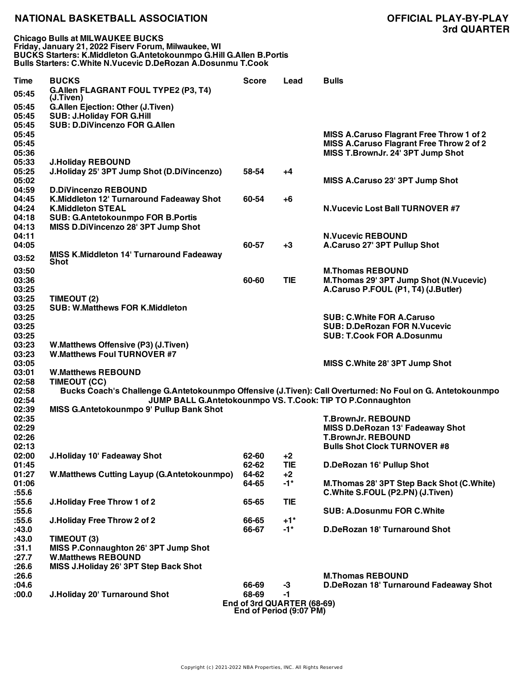**Chicago Bulls at MILWAUKEE BUCKS Friday, January 21, 2022 Fiserv Forum, Milwaukee, WI BUCKS Starters: K.Middleton G.Antetokounmpo G.Hill G.Allen B.Portis Bulls Starters: C.White N.Vucevic D.DeRozan A.Dosunmu T.Cook**

| <b>Time</b> | <b>BUCKS</b>                                                   | <b>Score</b> | Lead                                                  | <b>Bulls</b>                                                                                              |
|-------------|----------------------------------------------------------------|--------------|-------------------------------------------------------|-----------------------------------------------------------------------------------------------------------|
| 05:45       | G.Allen FLAGRANT FOUL TYPE2 (P3, T4)<br>(J.Tiven)              |              |                                                       |                                                                                                           |
| 05:45       | <b>G.Allen Ejection: Other (J.Tiven)</b>                       |              |                                                       |                                                                                                           |
| 05:45       | <b>SUB: J.Holiday FOR G.Hill</b>                               |              |                                                       |                                                                                                           |
| 05:45       | <b>SUB: D.DiVincenzo FOR G.Allen</b>                           |              |                                                       |                                                                                                           |
| 05:45       |                                                                |              |                                                       | <b>MISS A.Caruso Flagrant Free Throw 1 of 2</b>                                                           |
| 05:45       |                                                                |              |                                                       | MISS A.Caruso Flagrant Free Throw 2 of 2                                                                  |
| 05:36       |                                                                |              |                                                       | MISS T.BrownJr. 24' 3PT Jump Shot                                                                         |
| 05:33       | <b>J.Holiday REBOUND</b>                                       |              |                                                       |                                                                                                           |
| 05:25       | J.Holiday 25' 3PT Jump Shot (D.DiVincenzo)                     | 58-54        | +4                                                    |                                                                                                           |
| 05:02       |                                                                |              |                                                       | MISS A.Caruso 23' 3PT Jump Shot                                                                           |
| 04:59       | <b>D.DiVincenzo REBOUND</b>                                    |              |                                                       |                                                                                                           |
| 04:45       | K.Middleton 12' Turnaround Fadeaway Shot                       | 60-54        | $+6$                                                  |                                                                                                           |
| 04:24       | <b>K.Middleton STEAL</b>                                       |              |                                                       | <b>N.Vucevic Lost Ball TURNOVER #7</b>                                                                    |
| 04:18       | <b>SUB: G.Antetokounmpo FOR B.Portis</b>                       |              |                                                       |                                                                                                           |
| 04:13       | MISS D.DiVincenzo 28' 3PT Jump Shot                            |              |                                                       |                                                                                                           |
| 04:11       |                                                                |              |                                                       | <b>N.Vucevic REBOUND</b>                                                                                  |
| 04:05       |                                                                | 60-57        | $+3$                                                  | A.Caruso 27' 3PT Pullup Shot                                                                              |
| 03:52       | <b>MISS K.Middleton 14' Turnaround Fadeaway</b><br><b>Shot</b> |              |                                                       |                                                                                                           |
| 03:50       |                                                                |              |                                                       | <b>M.Thomas REBOUND</b>                                                                                   |
| 03:36       |                                                                | 60-60        | <b>TIE</b>                                            | M. Thomas 29' 3PT Jump Shot (N. Vucevic)                                                                  |
| 03:25       |                                                                |              |                                                       | A.Caruso P.FOUL (P1, T4) (J.Butler)                                                                       |
| 03:25       | TIMEOUT (2)                                                    |              |                                                       |                                                                                                           |
| 03:25       | <b>SUB: W.Matthews FOR K.Middleton</b>                         |              |                                                       |                                                                                                           |
| 03:25       |                                                                |              |                                                       | <b>SUB: C.White FOR A.Caruso</b>                                                                          |
| 03:25       |                                                                |              |                                                       | <b>SUB: D.DeRozan FOR N.Vucevic</b>                                                                       |
| 03:25       |                                                                |              |                                                       | <b>SUB: T.Cook FOR A.Dosunmu</b>                                                                          |
| 03:23       | W.Matthews Offensive (P3) (J.Tiven)                            |              |                                                       |                                                                                                           |
| 03:23       | <b>W.Matthews Foul TURNOVER #7</b>                             |              |                                                       |                                                                                                           |
| 03:05       |                                                                |              |                                                       | MISS C.White 28' 3PT Jump Shot                                                                            |
| 03:01       | <b>W.Matthews REBOUND</b>                                      |              |                                                       |                                                                                                           |
| 02:58       | TIMEOUT (CC)                                                   |              |                                                       |                                                                                                           |
| 02:58       |                                                                |              |                                                       | Bucks Coach's Challenge G.Antetokounmpo Offensive (J.Tiven): Call Overturned: No Foul on G. Antetokounmpo |
| 02:54       |                                                                |              |                                                       | JUMP BALL G.Antetokounmpo VS. T.Cook: TIP TO P.Connaughton                                                |
| 02:39       | MISS G.Antetokounmpo 9' Pullup Bank Shot                       |              |                                                       |                                                                                                           |
| 02:35       |                                                                |              |                                                       | <b>T.BrownJr. REBOUND</b>                                                                                 |
| 02:29       |                                                                |              |                                                       | <b>MISS D.DeRozan 13' Fadeaway Shot</b>                                                                   |
| 02:26       |                                                                |              |                                                       | <b>T.BrownJr. REBOUND</b>                                                                                 |
| 02:13       |                                                                |              |                                                       | <b>Bulls Shot Clock TURNOVER #8</b>                                                                       |
| 02:00       | J.Holiday 10' Fadeaway Shot                                    | 62-60        | $+2$                                                  |                                                                                                           |
| 01:45       |                                                                | 62-62        | <b>TIE</b>                                            | D.DeRozan 16' Pullup Shot                                                                                 |
| 01:27       | <b>W.Matthews Cutting Layup (G.Antetokounmpo)</b>              | 64-62        | $+2$                                                  |                                                                                                           |
| 01:06       |                                                                | 64-65        | $-1$ *                                                | M. Thomas 28' 3PT Step Back Shot (C. White)                                                               |
| :55.6       |                                                                |              |                                                       | C. White S.FOUL (P2.PN) (J. Tiven)                                                                        |
| :55.6       | J.Holiday Free Throw 1 of 2                                    | 65-65        | <b>TIE</b>                                            |                                                                                                           |
| :55.6       |                                                                |              |                                                       | <b>SUB: A.Dosunmu FOR C.White</b>                                                                         |
| :55.6       | J.Holiday Free Throw 2 of 2                                    | 66-65        | $+1"$                                                 |                                                                                                           |
| :43.0       |                                                                | 66-67        | $-1$ *                                                | D.DeRozan 18' Turnaround Shot                                                                             |
| :43.0       | TIMEOUT (3)                                                    |              |                                                       |                                                                                                           |
| :31.1       | MISS P.Connaughton 26' 3PT Jump Shot                           |              |                                                       |                                                                                                           |
| :27.7       | <b>W.Matthews REBOUND</b>                                      |              |                                                       |                                                                                                           |
| :26.6       | MISS J.Holiday 26' 3PT Step Back Shot                          |              |                                                       |                                                                                                           |
| :26.6       |                                                                |              |                                                       | <b>M.Thomas REBOUND</b>                                                                                   |
| :04.6       |                                                                | 66-69        | $-3$                                                  | D.DeRozan 18' Turnaround Fadeaway Shot                                                                    |
| :00.0       | J.Holiday 20' Turnaround Shot                                  | 68-69        | $-1$                                                  |                                                                                                           |
|             |                                                                |              | End of 3rd QUARTER (68-69)<br>End of Period (9:07 PM) |                                                                                                           |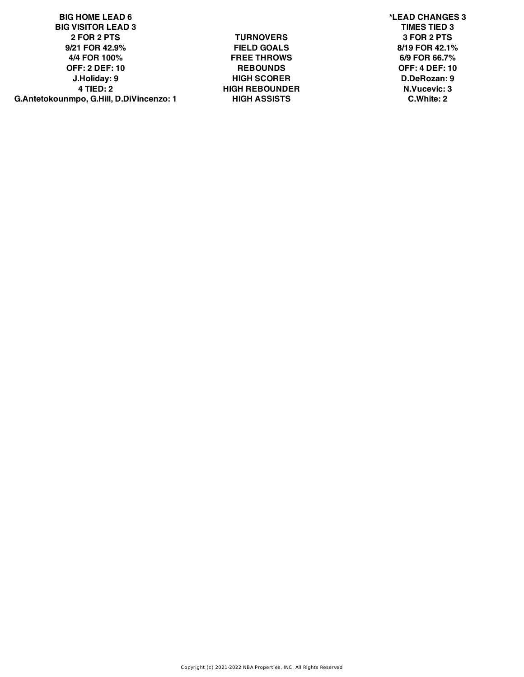**BIG HOME LEAD 6 \*LEAD CHANGES 3 BIG VISITOR LEAD 3 TIMES TIED 3 2 FOR 2 PTS TURNOVERS 3 FOR 2 PTS 9/21 FOR 42.9% FIELD GOALS 8/19 FOR 42.1% 4/4 FOR 100% FREE THROWS 6/9 FOR 66.7% OFF: 2 DEF: 10 REBOUNDS OFF: 4 DEF: 10 J.Holiday: 9 HIGH SCORER D.DeRozan: 9 4 TIED: 2 HIGH REBOUNDER N.Vucevic: 3 G.Antetokounmpo, G.Hill, D.DiVincenzo: 1 HIGH ASSISTS C.White: 2**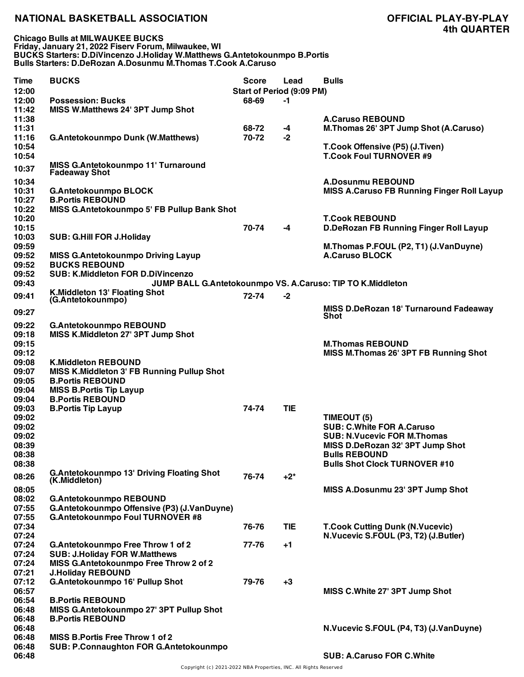**Chicago Bulls at MILWAUKEE BUCKS Friday, January 21, 2022 Fiserv Forum, Milwaukee, WI BUCKS Starters: D.DiVincenzo J.Holiday W.Matthews G.Antetokounmpo B.Portis Bulls Starters: D.DeRozan A.Dosunmu M.Thomas T.Cook A.Caruso**

| <b>Time</b> | <b>BUCKS</b>                                      | <b>Score</b> | Lead                             | <b>Bulls</b>                                               |
|-------------|---------------------------------------------------|--------------|----------------------------------|------------------------------------------------------------|
| 12:00       |                                                   |              | <b>Start of Period (9:09 PM)</b> |                                                            |
| 12:00       | <b>Possession: Bucks</b>                          | 68-69        | $-1$                             |                                                            |
| 11:42       | MISS W.Matthews 24' 3PT Jump Shot                 |              |                                  |                                                            |
| 11:38       |                                                   |              |                                  | <b>A.Caruso REBOUND</b>                                    |
| 11:31       |                                                   | 68-72        | -4                               | M.Thomas 26' 3PT Jump Shot (A.Caruso)                      |
| 11:16       | <b>G.Antetokounmpo Dunk (W.Matthews)</b>          | 70-72        | -2                               |                                                            |
| 10:54       |                                                   |              |                                  | T.Cook Offensive (P5) (J.Tiven)                            |
| 10:54       |                                                   |              |                                  | <b>T.Cook Foul TURNOVER #9</b>                             |
| 10:37       | MISS G.Antetokounmpo 11' Turnaround               |              |                                  |                                                            |
|             | <b>Fadeaway Shot</b>                              |              |                                  |                                                            |
| 10:34       |                                                   |              |                                  | <b>A.Dosunmu REBOUND</b>                                   |
| 10:31       | <b>G.Antetokounmpo BLOCK</b>                      |              |                                  | <b>MISS A.Caruso FB Running Finger Roll Layup</b>          |
| 10:27       | <b>B.Portis REBOUND</b>                           |              |                                  |                                                            |
| 10:22       | MISS G.Antetokounmpo 5' FB Pullup Bank Shot       |              |                                  |                                                            |
| 10:20       |                                                   |              |                                  | <b>T.Cook REBOUND</b>                                      |
| 10:15       |                                                   | 70-74        | -4                               | <b>D.DeRozan FB Running Finger Roll Layup</b>              |
| 10:03       | <b>SUB: G.Hill FOR J.Holiday</b>                  |              |                                  |                                                            |
| 09:59       |                                                   |              |                                  | M.Thomas P.FOUL (P2, T1) (J.VanDuyne)                      |
| 09:52       | <b>MISS G.Antetokounmpo Driving Layup</b>         |              |                                  | <b>A.Caruso BLOCK</b>                                      |
| 09:52       | <b>BUCKS REBOUND</b>                              |              |                                  |                                                            |
| 09:52       | <b>SUB: K.Middleton FOR D.DiVincenzo</b>          |              |                                  |                                                            |
| 09:43       |                                                   |              |                                  | JUMP BALL G.Antetokounmpo VS. A.Caruso: TIP TO K.Middleton |
|             | K.Middleton 13' Floating Shot                     |              |                                  |                                                            |
| 09:41       | (G.Antetokounmpo)                                 | 72-74        | $-2$                             |                                                            |
|             |                                                   |              |                                  | MISS D.DeRozan 18' Turnaround Fadeaway                     |
| 09:27       |                                                   |              |                                  | Shot                                                       |
| 09:22       | <b>G.Antetokounmpo REBOUND</b>                    |              |                                  |                                                            |
| 09:18       | MISS K.Middleton 27' 3PT Jump Shot                |              |                                  |                                                            |
| 09:15       |                                                   |              |                                  | <b>M.Thomas REBOUND</b>                                    |
| 09:12       |                                                   |              |                                  | MISS M.Thomas 26' 3PT FB Running Shot                      |
| 09:08       | <b>K.Middleton REBOUND</b>                        |              |                                  |                                                            |
| 09:07       | <b>MISS K.Middleton 3' FB Running Pullup Shot</b> |              |                                  |                                                            |
| 09:05       | <b>B.Portis REBOUND</b>                           |              |                                  |                                                            |
| 09:04       | <b>MISS B.Portis Tip Layup</b>                    |              |                                  |                                                            |
| 09:04       | <b>B.Portis REBOUND</b>                           |              |                                  |                                                            |
| 09:03       | <b>B.Portis Tip Layup</b>                         | 74-74        | <b>TIE</b>                       |                                                            |
| 09:02       |                                                   |              |                                  |                                                            |
|             |                                                   |              |                                  | TIMEOUT (5)<br><b>SUB: C.White FOR A.Caruso</b>            |
| 09:02       |                                                   |              |                                  |                                                            |
| 09:02       |                                                   |              |                                  | <b>SUB: N.Vucevic FOR M.Thomas</b>                         |
| 08:39       |                                                   |              |                                  | MISS D.DeRozan 32' 3PT Jump Shot                           |
| 08:38       |                                                   |              |                                  | <b>Bulls REBOUND</b>                                       |
| 08:38       |                                                   |              |                                  | <b>Bulls Shot Clock TURNOVER #10</b>                       |
| 08:26       | <b>G.Antetokounmpo 13' Driving Floating Shot</b>  | 76-74        | $+2^*$                           |                                                            |
|             | (K.Middleton)                                     |              |                                  |                                                            |
| 08:05       |                                                   |              |                                  | MISS A.Dosunmu 23' 3PT Jump Shot                           |
| 08:02       | <b>G.Antetokounmpo REBOUND</b>                    |              |                                  |                                                            |
| 07:55       | G.Antetokounmpo Offensive (P3) (J.VanDuyne)       |              |                                  |                                                            |
| 07:55       | G.Antetokounmpo Foul TURNOVER #8                  |              |                                  |                                                            |
| 07:34       |                                                   | 76-76        | <b>TIE</b>                       | <b>T.Cook Cutting Dunk (N.Vucevic)</b>                     |
| 07:24       |                                                   |              |                                  | N.Vucevic S.FOUL (P3, T2) (J.Butler)                       |
| 07:24       | G.Antetokounmpo Free Throw 1 of 2                 | 77-76        | +1                               |                                                            |
| 07:24       | <b>SUB: J.Holiday FOR W.Matthews</b>              |              |                                  |                                                            |
| 07:24       | MISS G.Antetokounmpo Free Throw 2 of 2            |              |                                  |                                                            |
| 07:21       | <b>J.Holiday REBOUND</b>                          |              |                                  |                                                            |
| 07:12       | G.Antetokounmpo 16' Pullup Shot                   | 79-76        | $+3$                             |                                                            |
| 06:57       |                                                   |              |                                  | MISS C.White 27' 3PT Jump Shot                             |
| 06:54       | <b>B.Portis REBOUND</b>                           |              |                                  |                                                            |
| 06:48       | MISS G.Antetokounmpo 27' 3PT Pullup Shot          |              |                                  |                                                            |
| 06:48       | <b>B.Portis REBOUND</b>                           |              |                                  |                                                            |
| 06:48       |                                                   |              |                                  | N. Vucevic S.FOUL (P4, T3) (J. Van Duyne)                  |
| 06:48       | <b>MISS B.Portis Free Throw 1 of 2</b>            |              |                                  |                                                            |
| 06:48       | <b>SUB: P.Connaughton FOR G.Antetokounmpo</b>     |              |                                  |                                                            |
| 06:48       |                                                   |              |                                  | <b>SUB: A.Caruso FOR C.White</b>                           |
|             |                                                   |              |                                  |                                                            |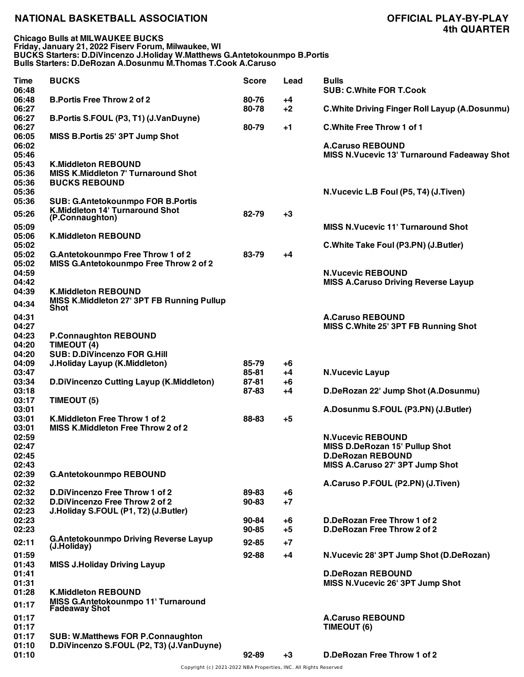**Chicago Bulls at MILWAUKEE BUCKS Friday, January 21, 2022 Fiserv Forum, Milwaukee, WI BUCKS Starters: D.DiVincenzo J.Holiday W.Matthews G.Antetokounmpo B.Portis Bulls Starters: D.DeRozan A.Dosunmu M.Thomas T.Cook A.Caruso**

| Time<br>06:48 | <b>BUCKS</b>                                 | <b>Score</b> | Lead | <b>Bulls</b><br><b>SUB: C.White FOR T.Cook</b>         |
|---------------|----------------------------------------------|--------------|------|--------------------------------------------------------|
| 06:48         | <b>B.Portis Free Throw 2 of 2</b>            | 80-76        | +4   |                                                        |
| 06:27         |                                              | 80-78        | $+2$ | <b>C. White Driving Finger Roll Layup (A. Dosunmu)</b> |
| 06:27         | B.Portis S.FOUL (P3, T1) (J.VanDuyne)        |              |      |                                                        |
| 06:27         |                                              | 80-79        | $+1$ | C. White Free Throw 1 of 1                             |
| 06:05         | MISS B.Portis 25' 3PT Jump Shot              |              |      |                                                        |
| 06:02         |                                              |              |      | <b>A.Caruso REBOUND</b>                                |
|               |                                              |              |      |                                                        |
| 05:46         |                                              |              |      | <b>MISS N. Vucevic 13' Turnaround Fadeaway Shot</b>    |
| 05:43         | <b>K.Middleton REBOUND</b>                   |              |      |                                                        |
| 05:36         | <b>MISS K.Middleton 7' Turnaround Shot</b>   |              |      |                                                        |
| 05:36         | <b>BUCKS REBOUND</b>                         |              |      |                                                        |
| 05:36         |                                              |              |      | N.Vucevic L.B Foul (P5, T4) (J.Tiven)                  |
| 05:36         | <b>SUB: G.Antetokounmpo FOR B.Portis</b>     |              |      |                                                        |
|               | K.Middleton 14' Turnaround Shot              |              |      |                                                        |
| 05:26         | (P.Connaughton)                              | 82-79        | $+3$ |                                                        |
| 05:09         |                                              |              |      | <b>MISS N.Vucevic 11' Turnaround Shot</b>              |
| 05:06         | <b>K.Middleton REBOUND</b>                   |              |      |                                                        |
| 05:02         |                                              |              |      | C. White Take Foul (P3.PN) (J. Butler)                 |
| 05:02         | G.Antetokounmpo Free Throw 1 of 2            | 83-79        | +4   |                                                        |
|               |                                              |              |      |                                                        |
| 05:02         | MISS G.Antetokounmpo Free Throw 2 of 2       |              |      |                                                        |
| 04:59         |                                              |              |      | <b>N.Vucevic REBOUND</b>                               |
| 04:42         |                                              |              |      | <b>MISS A.Caruso Driving Reverse Layup</b>             |
| 04:39         | <b>K.Middleton REBOUND</b>                   |              |      |                                                        |
| 04:34         | MISS K.Middleton 27' 3PT FB Running Pullup   |              |      |                                                        |
|               | Shot                                         |              |      |                                                        |
| 04:31         |                                              |              |      | <b>A.Caruso REBOUND</b>                                |
| 04:27         |                                              |              |      | MISS C.White 25' 3PT FB Running Shot                   |
| 04:23         | <b>P.Connaughton REBOUND</b>                 |              |      |                                                        |
| 04:20         | TIMEOUT (4)                                  |              |      |                                                        |
| 04:20         | <b>SUB: D.DiVincenzo FOR G.Hill</b>          |              |      |                                                        |
| 04:09         | J.Holiday Layup (K.Middleton)                | 85-79        | +6   |                                                        |
|               |                                              | 85-81        |      |                                                        |
| 03:47         |                                              |              | $+4$ | <b>N.Vucevic Layup</b>                                 |
| 03:34         | D.DiVincenzo Cutting Layup (K.Middleton)     | 87-81        | +6   |                                                        |
| 03:18         |                                              | 87-83        | +4   | D.DeRozan 22' Jump Shot (A.Dosunmu)                    |
| 03:17         | TIMEOUT (5)                                  |              |      |                                                        |
| 03:01         |                                              |              |      | A.Dosunmu S.FOUL (P3.PN) (J.Butler)                    |
| 03:01         | K.Middleton Free Throw 1 of 2                | 88-83        | $+5$ |                                                        |
| 03:01         | MISS K.Middleton Free Throw 2 of 2           |              |      |                                                        |
| 02:59         |                                              |              |      | <b>N.Vucevic REBOUND</b>                               |
| 02:47         |                                              |              |      | MISS D.DeRozan 15' Pullup Shot                         |
| 02:45         |                                              |              |      | <b>D.DeRozan REBOUND</b>                               |
| 02:43         |                                              |              |      | MISS A.Caruso 27' 3PT Jump Shot                        |
|               |                                              |              |      |                                                        |
| 02:39         | <b>G.Antetokounmpo REBOUND</b>               |              |      |                                                        |
| 02:32         |                                              |              |      | A.Caruso P.FOUL (P2.PN) (J.Tiven)                      |
| 02:32         | D.DiVincenzo Free Throw 1 of 2               | 89-83        | +6   |                                                        |
| 02:32         | D.DiVincenzo Free Throw 2 of 2               | 90-83        | $+7$ |                                                        |
| 02:23         | J.Holiday S.FOUL (P1, T2) (J.Butler)         |              |      |                                                        |
| 02:23         |                                              | 90-84        | +6   | D.DeRozan Free Throw 1 of 2                            |
| 02:23         |                                              | $90 - 85$    | $+5$ | D.DeRozan Free Throw 2 of 2                            |
|               | <b>G.Antetokounmpo Driving Reverse Layup</b> |              |      |                                                        |
| 02:11         | (J.Holiday)                                  | $92 - 85$    | $+7$ |                                                        |
| 01:59         |                                              | 92-88        | $+4$ | N.Vucevic 28' 3PT Jump Shot (D.DeRozan)                |
| 01:43         | <b>MISS J.Holiday Driving Layup</b>          |              |      |                                                        |
| 01:41         |                                              |              |      | <b>D.DeRozan REBOUND</b>                               |
|               |                                              |              |      |                                                        |
| 01:31         |                                              |              |      | MISS N.Vucevic 26' 3PT Jump Shot                       |
| 01:28         | <b>K.Middleton REBOUND</b>                   |              |      |                                                        |
| 01:17         | <b>MISS G.Antetokounmpo 11' Turnaround</b>   |              |      |                                                        |
|               | <b>Fadeaway Shot</b>                         |              |      |                                                        |
| 01:17         |                                              |              |      | <b>A.Caruso REBOUND</b>                                |
| 01:17         |                                              |              |      | TIMEOUT (6)                                            |
| 01:17         | <b>SUB: W.Matthews FOR P.Connaughton</b>     |              |      |                                                        |
| 01:10         | D.DiVincenzo S.FOUL (P2, T3) (J.VanDuyne)    |              |      |                                                        |
| 01:10         |                                              | 92-89        | $+3$ | D.DeRozan Free Throw 1 of 2                            |
|               |                                              |              |      |                                                        |